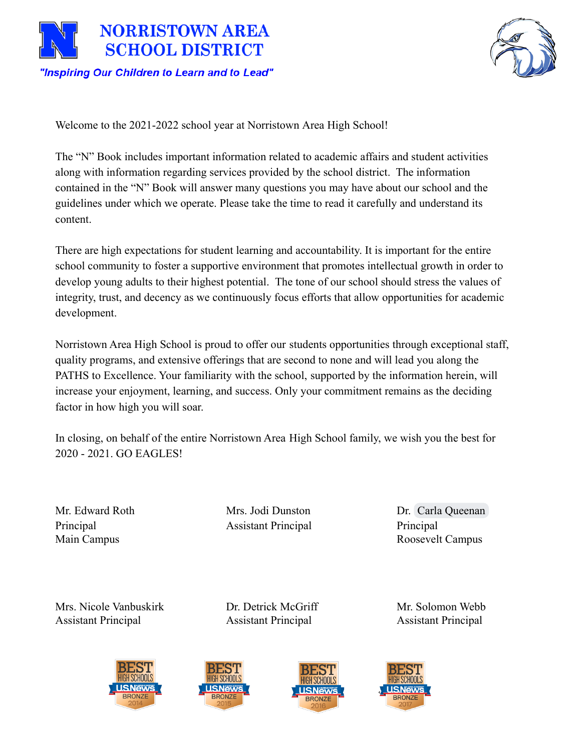



Welcome to the 2021-2022 school year at Norristown Area High School!

The "N" Book includes important information related to academic affairs and student activities along with information regarding services provided by the school district. The information contained in the "N" Book will answer many questions you may have about our school and the guidelines under which we operate. Please take the time to read it carefully and understand its content.

There are high expectations for student learning and accountability. It is important for the entire school community to foster a supportive environment that promotes intellectual growth in order to develop young adults to their highest potential. The tone of our school should stress the values of integrity, trust, and decency as we continuously focus efforts that allow opportunities for academic development.

Norristown Area High School is proud to offer our students opportunities through exceptional staff, quality programs, and extensive offerings that are second to none and will lead you along the PATHS to Excellence. Your familiarity with the school, supported by the information herein, will increase your enjoyment, learning, and success. Only your commitment remains as the deciding factor in how high you will soar.

In closing, on behalf of the entire Norristown Area High School family, we wish you the best for 2020 - 2021. GO EAGLES!

Principal **Assistant Principal** Principal Principal

Mr. Edward Roth Mrs. Jodi Dunston Dr. [Carla Queenan](mailto:cqueenan@nasd.k12.pa.us) Main Campus Roosevelt Campus

Mrs. Nicole Vanbuskirk **Dr. Detrick McGriff** Mr. Solomon Webb Assistant Principal Assistant Principal Assistant Principal







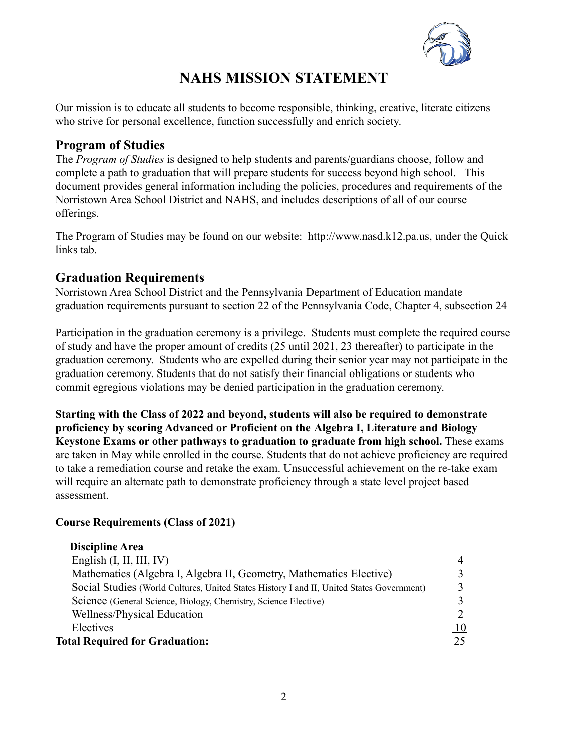

# **NAHS MISSION STATEMENT**

Our mission is to educate all students to become responsible, thinking, creative, literate citizens who strive for personal excellence, function successfully and enrich society.

# **Program of Studies**

The *Program of Studies* is designed to help students and parents/guardians choose, follow and complete a path to graduation that will prepare students for success beyond high school. This document provides general information including the policies, procedures and requirements of the Norristown Area School District and NAHS, and includes descriptions of all of our course offerings.

The Program of Studies may be found on our website: http://www.nasd.k12.pa.us, under the Quick links tab.

# **Graduation Requirements**

Norristown Area School District and the Pennsylvania Department of Education mandate graduation requirements pursuant to section 22 of the Pennsylvania Code, Chapter 4, subsection 24

Participation in the graduation ceremony is a privilege. Students must complete the required course of study and have the proper amount of credits (25 until 2021, 23 thereafter) to participate in the graduation ceremony. Students who are expelled during their senior year may not participate in the graduation ceremony. Students that do not satisfy their financial obligations or students who commit egregious violations may be denied participation in the graduation ceremony.

**Starting with the Class of 2022 and beyond, students will also be required to demonstrate proficiency by scoring Advanced or Proficient on the Algebra I, Literature and Biology Keystone Exams or other pathways to graduation to graduate from high school.** These exams are taken in May while enrolled in the course. Students that do not achieve proficiency are required to take a remediation course and retake the exam. Unsuccessful achievement on the re-take exam will require an alternate path to demonstrate proficiency through a state level project based assessment.

### **Course Requirements (Class of 2021)**

| <b>Discipline Area</b>                                                                    |                |
|-------------------------------------------------------------------------------------------|----------------|
| English $(I, II, III, IV)$                                                                | $\overline{4}$ |
| Mathematics (Algebra I, Algebra II, Geometry, Mathematics Elective)                       |                |
| Social Studies (World Cultures, United States History I and II, United States Government) |                |
| Science (General Science, Biology, Chemistry, Science Elective)                           |                |
| Wellness/Physical Education                                                               |                |
| Electives                                                                                 | <u>10</u>      |
| <b>Total Required for Graduation:</b>                                                     | 25             |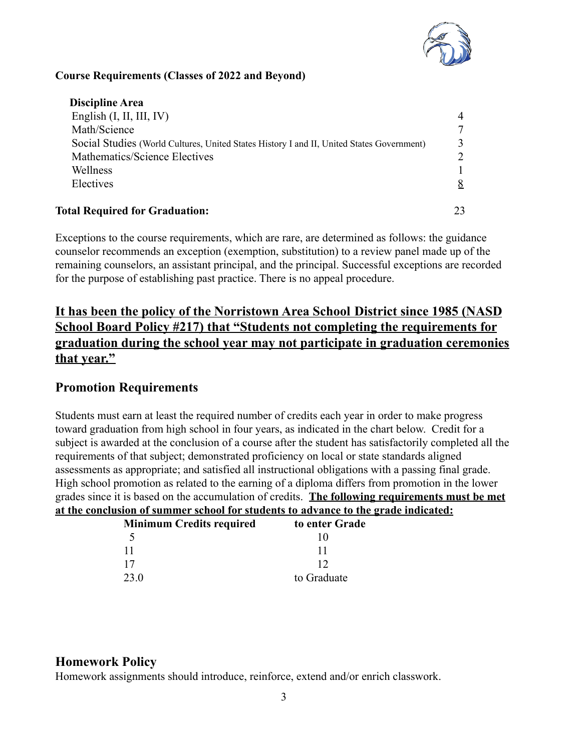

#### **Course Requirements (Classes of 2022 and Beyond)**

| <b>Discipline Area</b>                                                                    |  |
|-------------------------------------------------------------------------------------------|--|
| English $(I, II, III, IV)$                                                                |  |
| Math/Science                                                                              |  |
| Social Studies (World Cultures, United States History I and II, United States Government) |  |
| Mathematics/Science Electives                                                             |  |
| Wellness                                                                                  |  |
| Electives                                                                                 |  |
| <b>Total Required for Graduation:</b>                                                     |  |
|                                                                                           |  |

Exceptions to the course requirements, which are rare, are determined as follows: the guidance counselor recommends an exception (exemption, substitution) to a review panel made up of the remaining counselors, an assistant principal, and the principal. Successful exceptions are recorded for the purpose of establishing past practice. There is no appeal procedure.

**It has been the policy of the Norristown Area School District since 1985 (NASD School Board Policy #217) that "Students not completing the requirements for graduation during the school year may not participate in graduation ceremonies that year."**

# **Promotion Requirements**

Students must earn at least the required number of credits each year in order to make progress toward graduation from high school in four years, as indicated in the chart below. Credit for a subject is awarded at the conclusion of a course after the student has satisfactorily completed all the requirements of that subject; demonstrated proficiency on local or state standards aligned assessments as appropriate; and satisfied all instructional obligations with a passing final grade. High school promotion as related to the earning of a diploma differs from promotion in the lower grades since it is based on the accumulation of credits. **The following requirements must be met at the conclusion of summer school for students to advance to the grade indicated:**

| <b>Minimum Credits required</b> | to enter Grade |
|---------------------------------|----------------|
| 5                               | 10             |
| -11                             | 11             |
| 17                              | 12             |
| 23.0                            | to Graduate    |

# **Homework Policy**

Homework assignments should introduce, reinforce, extend and/or enrich classwork.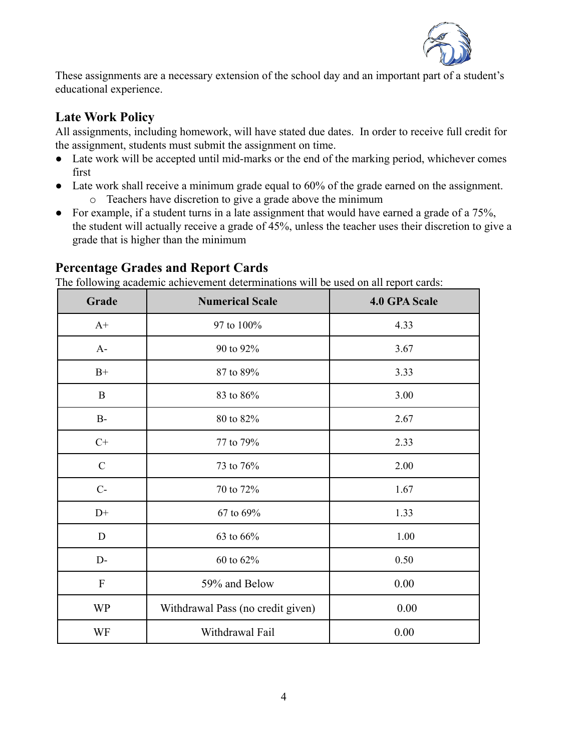

These assignments are a necessary extension of the school day and an important part of a student's educational experience.

# **Late Work Policy**

All assignments, including homework, will have stated due dates. In order to receive full credit for the assignment, students must submit the assignment on time.

- Late work will be accepted until mid-marks or the end of the marking period, whichever comes first
- Late work shall receive a minimum grade equal to 60% of the grade earned on the assignment. o Teachers have discretion to give a grade above the minimum
- For example, if a student turns in a late assignment that would have earned a grade of a 75%, the student will actually receive a grade of 45%, unless the teacher uses their discretion to give a grade that is higher than the minimum

| Grade         | The following academic active chiefu determinations will be used on an report cards.<br><b>Numerical Scale</b> | <b>4.0 GPA Scale</b> |
|---------------|----------------------------------------------------------------------------------------------------------------|----------------------|
| $A+$          | 97 to 100%                                                                                                     | 4.33                 |
| $A-$          | 90 to 92%                                                                                                      | 3.67                 |
| $B+$          | 87 to 89%                                                                                                      | 3.33                 |
| B             | 83 to 86%                                                                                                      | 3.00                 |
| $B-$          | 80 to 82%                                                                                                      | 2.67                 |
| $C+$          | 77 to 79%                                                                                                      | 2.33                 |
| $\mathcal{C}$ | 73 to 76%                                                                                                      | 2.00                 |
| $C-$          | 70 to 72%                                                                                                      | 1.67                 |
| $D+$          | 67 to 69%                                                                                                      | 1.33                 |
| $\mathbf D$   | 63 to 66%                                                                                                      | 1.00                 |
| $D-$          | 60 to 62%                                                                                                      | 0.50                 |
| $\mathbf{F}$  | 59% and Below                                                                                                  | 0.00                 |
| <b>WP</b>     | Withdrawal Pass (no credit given)                                                                              | 0.00                 |
| WF            | Withdrawal Fail                                                                                                | 0.00                 |

# **Percentage Grades and Report Cards**

The following academic achievement determinations will be used on all report cards: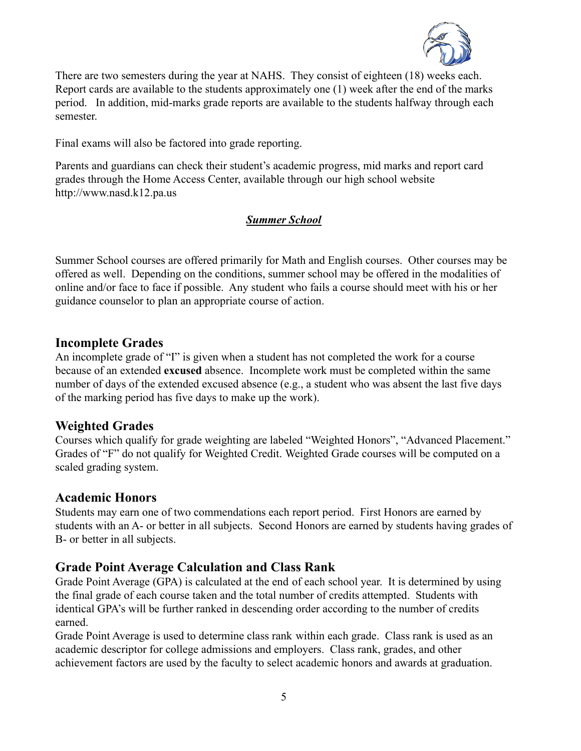

There are two semesters during the year at NAHS. They consist of eighteen (18) weeks each. Report cards are available to the students approximately one (1) week after the end of the marks period. In addition, mid-marks grade reports are available to the students halfway through each semester.

Final exams will also be factored into grade reporting.

Parents and guardians can check their student's academic progress, mid marks and report card grades through the Home Access Center, available through our high school website http://www.nasd.k12.pa.us

### *Summer School*

Summer School courses are offered primarily for Math and English courses. Other courses may be offered as well. Depending on the conditions, summer school may be offered in the modalities of online and/or face to face if possible. Any student who fails a course should meet with his or her guidance counselor to plan an appropriate course of action.

### **Incomplete Grades**

An incomplete grade of "I" is given when a student has not completed the work for a course because of an extended **excused** absence. Incomplete work must be completed within the same number of days of the extended excused absence (e.g., a student who was absent the last five days of the marking period has five days to make up the work).

# **Weighted Grades**

Courses which qualify for grade weighting are labeled "Weighted Honors", "Advanced Placement." Grades of "F" do not qualify for Weighted Credit. Weighted Grade courses will be computed on a scaled grading system.

### **Academic Honors**

Students may earn one of two commendations each report period. First Honors are earned by students with an A- or better in all subjects. Second Honors are earned by students having grades of B- or better in all subjects.

# **Grade Point Average Calculation and Class Rank**

Grade Point Average (GPA) is calculated at the end of each school year. It is determined by using the final grade of each course taken and the total number of credits attempted. Students with identical GPA's will be further ranked in descending order according to the number of credits earned.

Grade Point Average is used to determine class rank within each grade. Class rank is used as an academic descriptor for college admissions and employers. Class rank, grades, and other achievement factors are used by the faculty to select academic honors and awards at graduation.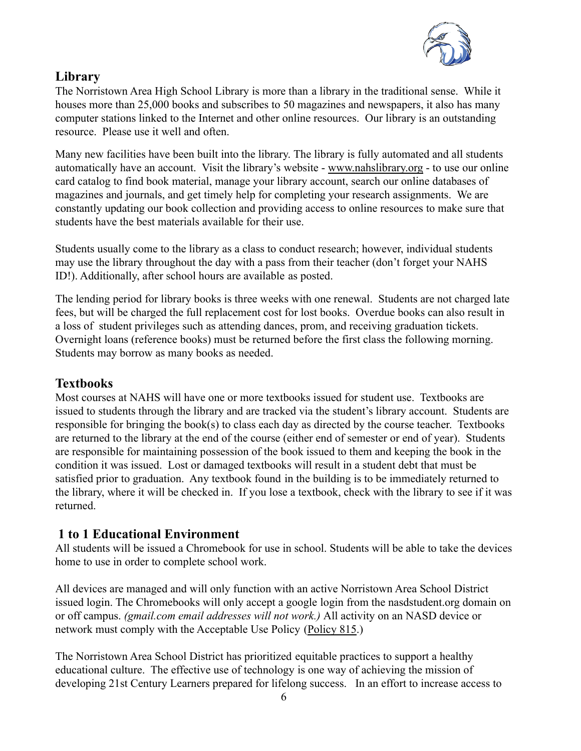

# **Library**

The Norristown Area High School Library is more than a library in the traditional sense. While it houses more than 25,000 books and subscribes to 50 magazines and newspapers, it also has many computer stations linked to the Internet and other online resources. Our library is an outstanding resource. Please use it well and often.

Many new facilities have been built into the library. The library is fully automated and all students automatically have an account. Visit the library's website - [www.nahslibrary.org](http://www.nahslibrary.org) - to use our online card catalog to find book material, manage your library account, search our online databases of magazines and journals, and get timely help for completing your research assignments. We are constantly updating our book collection and providing access to online resources to make sure that students have the best materials available for their use.

Students usually come to the library as a class to conduct research; however, individual students may use the library throughout the day with a pass from their teacher (don't forget your NAHS ID!). Additionally, after school hours are available as posted.

The lending period for library books is three weeks with one renewal. Students are not charged late fees, but will be charged the full replacement cost for lost books. Overdue books can also result in a loss of student privileges such as attending dances, prom, and receiving graduation tickets. Overnight loans (reference books) must be returned before the first class the following morning. Students may borrow as many books as needed.

# **Textbooks**

Most courses at NAHS will have one or more textbooks issued for student use. Textbooks are issued to students through the library and are tracked via the student's library account. Students are responsible for bringing the book(s) to class each day as directed by the course teacher. Textbooks are returned to the library at the end of the course (either end of semester or end of year). Students are responsible for maintaining possession of the book issued to them and keeping the book in the condition it was issued. Lost or damaged textbooks will result in a student debt that must be satisfied prior to graduation. Any textbook found in the building is to be immediately returned to the library, where it will be checked in. If you lose a textbook, check with the library to see if it was returned.

# **1 to 1 Educational Environment**

All students will be issued a Chromebook for use in school. Students will be able to take the devices home to use in order to complete school work.

All devices are managed and will only function with an active Norristown Area School District issued login. The Chromebooks will only accept a google login from the nasdstudent.org domain on or off campus. *(gmail.com email addresses will not work.)* All activity on an NASD device or network must comply with the Acceptable Use Policy [\(Policy 815.](http://go.boarddocs.com/pa/nasdpa/Board.nsf/goto?open&id=9TLS7X715E9F))

The Norristown Area School District has prioritized equitable practices to support a healthy educational culture. The effective use of technology is one way of achieving the mission of developing 21st Century Learners prepared for lifelong success. In an effort to increase access to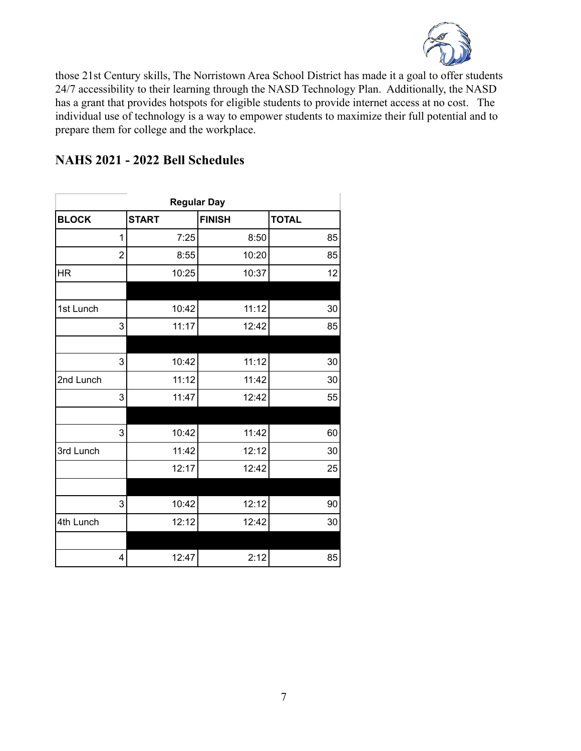

those 21st Century skills, The Norristown Area School District has made it a goal to offer students 24/7 accessibility to their learning through the NASD Technology Plan. Additionally, the NASD has a grant that provides hotspots for eligible students to provide internet access at no cost. The individual use of technology is a way to empower students to maximize their full potential and to prepare them for college and the workplace.

|  | NAHS 2021 - 2022 Bell Schedules |  |
|--|---------------------------------|--|
|--|---------------------------------|--|

| <b>Regular Day</b> |              |               |              |
|--------------------|--------------|---------------|--------------|
| <b>BLOCK</b>       | <b>START</b> | <b>FINISH</b> | <b>TOTAL</b> |
| 1                  | 7:25         | 8:50          | 85           |
| $\overline{2}$     | 8:55         | 10:20         | 85           |
| <b>HR</b>          | 10:25        | 10:37         | 12           |
|                    |              |               |              |
| 1st Lunch          | 10:42        | 11:12         | 30           |
| 3                  | 11:17        | 12:42         | 85           |
|                    |              |               |              |
| 3                  | 10:42        | 11:12         | 30           |
| 2nd Lunch          | 11:12        | 11:42         | 30           |
| 3                  | 11:47        | 12:42         | 55           |
|                    |              |               |              |
| 3                  | 10:42        | 11:42         | 60           |
| 3rd Lunch          | 11:42        | 12:12         | 30           |
|                    | 12:17        | 12:42         | 25           |
|                    |              |               |              |
| 3                  | 10:42        | 12:12         | 90           |
| 4th Lunch          | 12:12        | 12:42         | 30           |
|                    |              |               |              |
| 4                  | 12:47        | 2:12          | 85           |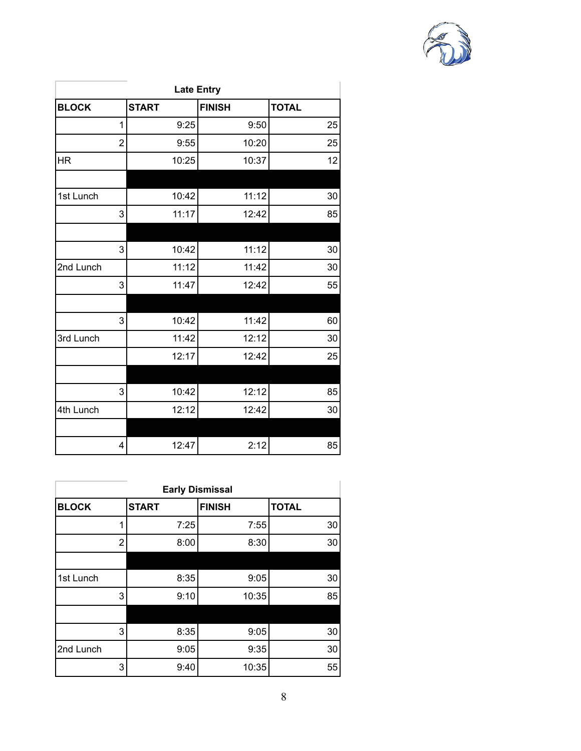

| <b>Late Entry</b> |              |               |              |  |
|-------------------|--------------|---------------|--------------|--|
| <b>BLOCK</b>      | <b>START</b> | <b>FINISH</b> | <b>TOTAL</b> |  |
| 1                 | 9:25         | 9:50          | 25           |  |
| $\overline{2}$    | 9:55         | 10:20         | 25           |  |
| <b>HR</b>         | 10:25        | 10:37         | 12           |  |
|                   |              |               |              |  |
| 1st Lunch         | 10:42        | 11:12         | 30           |  |
| 3                 | 11:17        | 12:42         | 85           |  |
|                   |              |               |              |  |
| 3                 | 10:42        | 11:12         | 30           |  |
| 2nd Lunch         | 11:12        | 11:42         | 30           |  |
| 3                 | 11:47        | 12:42         | 55           |  |
|                   |              |               |              |  |
| 3                 | 10:42        | 11:42         | 60           |  |
| 3rd Lunch         | 11:42        | 12:12         | 30           |  |
|                   | 12:17        | 12:42         | 25           |  |
|                   |              |               |              |  |
| 3                 | 10:42        | 12:12         | 85           |  |
| 4th Lunch         | 12:12        | 12:42         | 30           |  |
|                   |              |               |              |  |
| 4                 | 12:47        | 2:12          | 85           |  |

| <b>Early Dismissal</b> |              |               |              |
|------------------------|--------------|---------------|--------------|
| <b>BLOCK</b>           | <b>START</b> | <b>FINISH</b> | <b>TOTAL</b> |
| 1                      | 7:25         | 7:55          | 30           |
| $\overline{2}$         | 8:00         | 8:30          | 30           |
|                        |              |               |              |
| 1st Lunch              | 8:35         | 9:05          | 30           |
| 3                      | 9:10         | 10:35         | 85           |
|                        |              |               |              |
| 3                      | 8:35         | 9:05          | 30           |
| 2nd Lunch              | 9:05         | 9:35          | 30           |
| 3                      | 9:40         | 10:35         | 55           |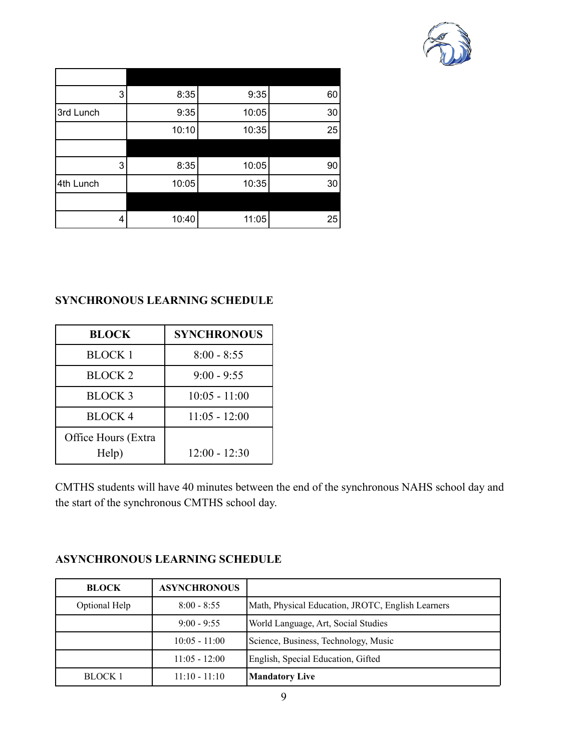

| 3         | 8:35  | 9:35  | 60 |
|-----------|-------|-------|----|
| 3rd Lunch | 9:35  | 10:05 | 30 |
|           | 10:10 | 10:35 | 25 |
|           |       |       |    |
| 3         | 8:35  | 10:05 | 90 |
| 4th Lunch | 10:05 | 10:35 | 30 |
|           |       |       |    |
| 4         | 10:40 | 11:05 | 25 |

#### **SYNCHRONOUS LEARNING SCHEDULE**

| <b>BLOCK</b>                 | <b>SYNCHRONOUS</b> |
|------------------------------|--------------------|
| <b>BLOCK 1</b>               | $8:00 - 8:55$      |
| <b>BLOCK 2</b>               | $9:00 - 9:55$      |
| <b>BLOCK 3</b>               | $10:05 - 11:00$    |
| <b>BLOCK4</b>                | $11:05 - 12:00$    |
| Office Hours (Extra<br>Help) | $12:00 - 12:30$    |

CMTHS students will have 40 minutes between the end of the synchronous NAHS school day and the start of the synchronous CMTHS school day.

### **ASYNCHRONOUS LEARNING SCHEDULE**

| <b>BLOCK</b>   | <b>ASYNCHRONOUS</b> |                                                   |
|----------------|---------------------|---------------------------------------------------|
| Optional Help  | $8:00 - 8:55$       | Math, Physical Education, JROTC, English Learners |
|                | $9:00 - 9:55$       | World Language, Art, Social Studies               |
|                | $10:05 - 11:00$     | Science, Business, Technology, Music              |
|                | $11:05 - 12:00$     | English, Special Education, Gifted                |
| <b>BLOCK 1</b> | $11:10 - 11:10$     | <b>Mandatory Live</b>                             |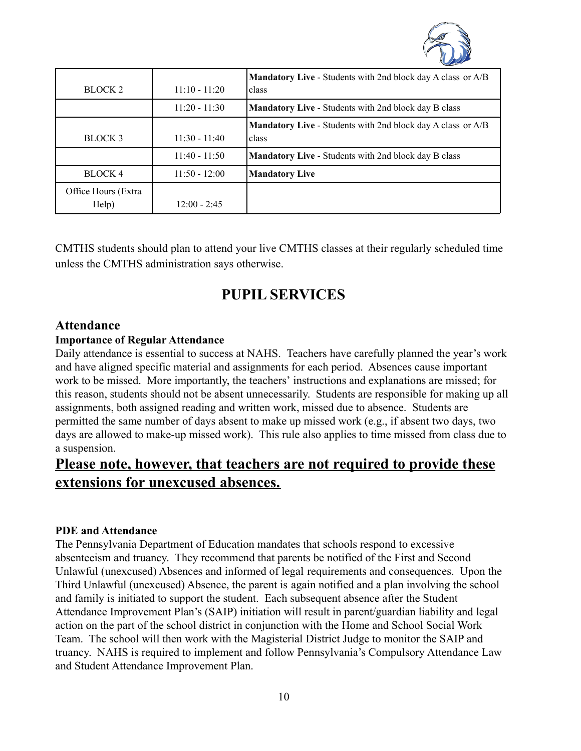

| BLOCK <sub>2</sub>           | $11:10 - 11:20$ | <b>Mandatory Live - Students with 2nd block day A class or A/B</b><br>class |
|------------------------------|-----------------|-----------------------------------------------------------------------------|
|                              | $11:20 - 11:30$ | <b>Mandatory Live - Students with 2nd block day B class</b>                 |
| BLOCK 3                      | $11:30 - 11:40$ | <b>Mandatory Live - Students with 2nd block day A class or A/B</b><br>class |
|                              | $11:40 - 11:50$ | <b>Mandatory Live - Students with 2nd block day B class</b>                 |
| BLOCK 4                      | $11:50 - 12:00$ | <b>Mandatory Live</b>                                                       |
| Office Hours (Extra<br>Help) | $12:00 - 2:45$  |                                                                             |

CMTHS students should plan to attend your live CMTHS classes at their regularly scheduled time unless the CMTHS administration says otherwise.

# **PUPIL SERVICES**

### **Attendance**

#### **Importance of Regular Attendance**

Daily attendance is essential to success at NAHS. Teachers have carefully planned the year's work and have aligned specific material and assignments for each period. Absences cause important work to be missed. More importantly, the teachers' instructions and explanations are missed; for this reason, students should not be absent unnecessarily. Students are responsible for making up all assignments, both assigned reading and written work, missed due to absence. Students are permitted the same number of days absent to make up missed work (e.g., if absent two days, two days are allowed to make-up missed work). This rule also applies to time missed from class due to a suspension.

# **Please note, however, that teachers are not required to provide these extensions for unexcused absences.**

#### **PDE and Attendance**

The Pennsylvania Department of Education mandates that schools respond to excessive absenteeism and truancy. They recommend that parents be notified of the First and Second Unlawful (unexcused) Absences and informed of legal requirements and consequences. Upon the Third Unlawful (unexcused) Absence, the parent is again notified and a plan involving the school and family is initiated to support the student. Each subsequent absence after the Student Attendance Improvement Plan's (SAIP) initiation will result in parent/guardian liability and legal action on the part of the school district in conjunction with the Home and School Social Work Team. The school will then work with the Magisterial District Judge to monitor the SAIP and truancy. NAHS is required to implement and follow Pennsylvania's Compulsory Attendance Law and Student Attendance Improvement Plan.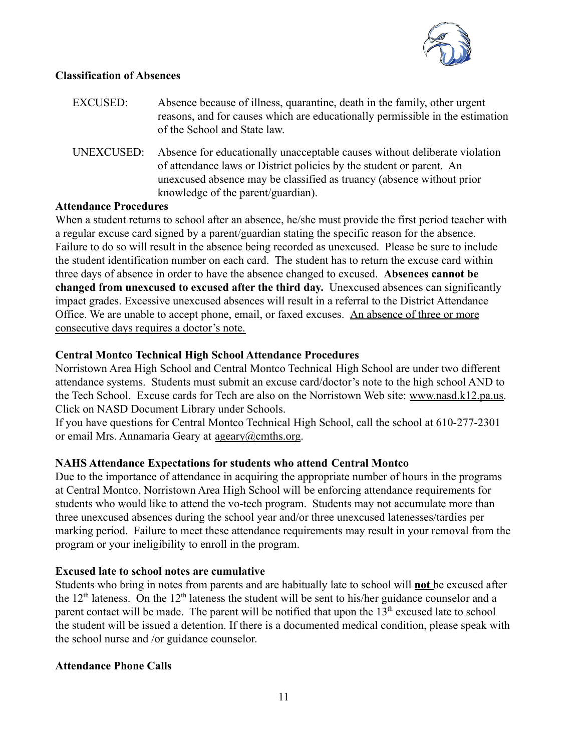

#### **Classification of Absences**

| <b>EXCUSED:</b> | Absence because of illness, quarantine, death in the family, other urgent<br>reasons, and for causes which are educationally permissible in the estimation<br>of the School and State law.                                                                        |
|-----------------|-------------------------------------------------------------------------------------------------------------------------------------------------------------------------------------------------------------------------------------------------------------------|
| UNEXCUSED:      | Absence for educationally unacceptable causes without deliberate violation<br>of attendance laws or District policies by the student or parent. An<br>unexcused absence may be classified as truancy (absence without prior<br>knowledge of the parent/guardian). |

#### **Attendance Procedures**

When a student returns to school after an absence, he/she must provide the first period teacher with a regular excuse card signed by a parent/guardian stating the specific reason for the absence. Failure to do so will result in the absence being recorded as unexcused. Please be sure to include the student identification number on each card. The student has to return the excuse card within three days of absence in order to have the absence changed to excused. **Absences cannot be changed from unexcused to excused after the third day.** Unexcused absences can significantly impact grades. Excessive unexcused absences will result in a referral to the District Attendance Office. We are unable to accept phone, email, or faxed excuses. An absence of three or more consecutive days requires a doctor's note.

### **Central Montco Technical High School Attendance Procedures**

Norristown Area High School and Central Montco Technical High School are under two different attendance systems. Students must submit an excuse card/doctor's note to the high school AND to the Tech School. Excuse cards for Tech are also on the Norristown Web site: [www.nasd.k12.pa.us.](http://www.nasd.k12.pa.us) Click on [NASD Document Library](http://www.nasd.k12.pa.us/FormList.asp) under Schools.

If you have questions for Central Montco Technical High School, call the school at 610-277-2301 or email Mrs. Annamaria Geary at [ageary@cmths.org](mailto:ageary@cmths.org).

#### **NAHS Attendance Expectations for students who attend Central Montco**

Due to the importance of attendance in acquiring the appropriate number of hours in the programs at Central Montco, Norristown Area High School will be enforcing attendance requirements for students who would like to attend the vo-tech program. Students may not accumulate more than three unexcused absences during the school year and/or three unexcused latenesses/tardies per marking period. Failure to meet these attendance requirements may result in your removal from the program or your ineligibility to enroll in the program.

#### **Excused late to school notes are cumulative**

Students who bring in notes from parents and are habitually late to school will **not** be excused after the  $12<sup>th</sup>$  lateness. On the  $12<sup>th</sup>$  lateness the student will be sent to his/her guidance counselor and a parent contact will be made. The parent will be notified that upon the  $13<sup>th</sup>$  excused late to school the student will be issued a detention. If there is a documented medical condition, please speak with the school nurse and /or guidance counselor.

#### **Attendance Phone Calls**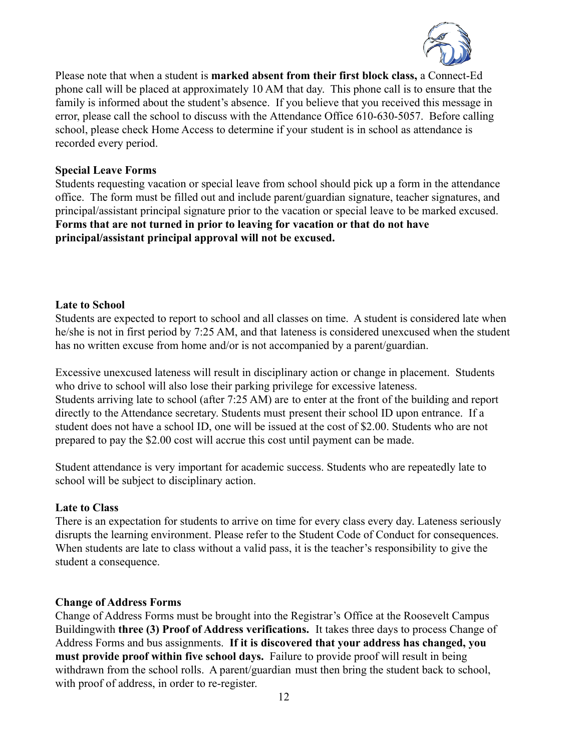

Please note that when a student is **marked absent from their first block class,** a Connect-Ed phone call will be placed at approximately 10 AM that day. This phone call is to ensure that the family is informed about the student's absence. If you believe that you received this message in error, please call the school to discuss with the Attendance Office 610-630-5057. Before calling school, please check Home Access to determine if your student is in school as attendance is recorded every period.

#### **Special Leave Forms**

Students requesting vacation or special leave from school should pick up a form in the attendance office. The form must be filled out and include parent/guardian signature, teacher signatures, and principal/assistant principal signature prior to the vacation or special leave to be marked excused. **Forms that are not turned in prior to leaving for vacation or that do not have principal/assistant principal approval will not be excused.**

#### **Late to School**

Students are expected to report to school and all classes on time. A student is considered late when he/she is not in first period by 7:25 AM, and that lateness is considered unexcused when the student has no written excuse from home and/or is not accompanied by a parent/guardian.

Excessive unexcused lateness will result in disciplinary action or change in placement. Students who drive to school will also lose their parking privilege for excessive lateness. Students arriving late to school (after 7:25 AM) are to enter at the front of the building and report directly to the Attendance secretary. Students must present their school ID upon entrance. If a student does not have a school ID, one will be issued at the cost of \$2.00. Students who are not prepared to pay the \$2.00 cost will accrue this cost until payment can be made.

Student attendance is very important for academic success. Students who are repeatedly late to school will be subject to disciplinary action.

#### **Late to Class**

There is an expectation for students to arrive on time for every class every day. Lateness seriously disrupts the learning environment. Please refer to the Student Code of Conduct for consequences. When students are late to class without a valid pass, it is the teacher's responsibility to give the student a consequence.

#### **Change of Address Forms**

Change of Address Forms must be brought into the Registrar's Office at the Roosevelt Campus Buildingwith **three (3) Proof of Address verifications.** It takes three days to process Change of Address Forms and bus assignments. **If it is discovered that your address has changed, you must provide proof within five school days.** Failure to provide proof will result in being withdrawn from the school rolls. A parent/guardian must then bring the student back to school, with proof of address, in order to re-register.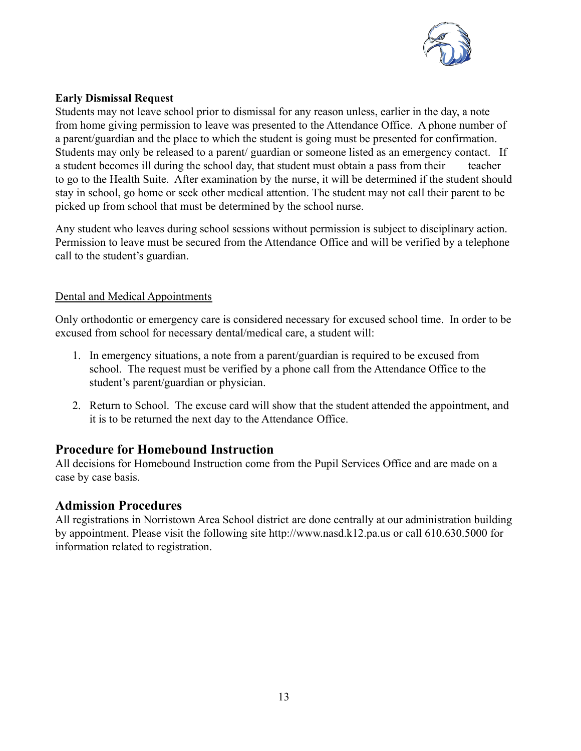

#### **Early Dismissal Request**

Students may not leave school prior to dismissal for any reason unless, earlier in the day, a note from home giving permission to leave was presented to the Attendance Office. A phone number of a parent/guardian and the place to which the student is going must be presented for confirmation. Students may only be released to a parent/ guardian or someone listed as an emergency contact. If a student becomes ill during the school day, that student must obtain a pass from their teacher to go to the Health Suite. After examination by the nurse, it will be determined if the student should stay in school, go home or seek other medical attention. The student may not call their parent to be picked up from school that must be determined by the school nurse.

Any student who leaves during school sessions without permission is subject to disciplinary action. Permission to leave must be secured from the Attendance Office and will be verified by a telephone call to the student's guardian.

#### Dental and Medical Appointments

Only orthodontic or emergency care is considered necessary for excused school time. In order to be excused from school for necessary dental/medical care, a student will:

- 1. In emergency situations, a note from a parent/guardian is required to be excused from school. The request must be verified by a phone call from the Attendance Office to the student's parent/guardian or physician.
- 2. Return to School. The excuse card will show that the student attended the appointment, and it is to be returned the next day to the Attendance Office.

# **Procedure for Homebound Instruction**

All decisions for Homebound Instruction come from the Pupil Services Office and are made on a case by case basis.

### **Admission Procedures**

All registrations in Norristown Area School district are done centrally at our administration building by appointment. Please visit the following site http://www.nasd.k12.pa.us or call 610.630.5000 for information related to registration.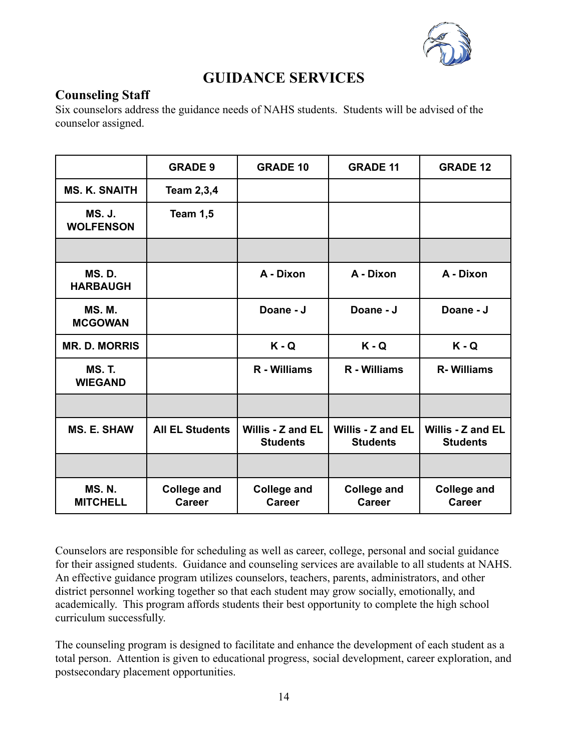

# **GUIDANCE SERVICES**

# **Counseling Staff**

Six counselors address the guidance needs of NAHS students. Students will be advised of the counselor assigned.

|                                   | <b>GRADE 9</b>                      | <b>GRADE 10</b>                      | <b>GRADE 11</b>                      | <b>GRADE 12</b>                      |
|-----------------------------------|-------------------------------------|--------------------------------------|--------------------------------------|--------------------------------------|
| <b>MS. K. SNAITH</b>              | <b>Team 2,3,4</b>                   |                                      |                                      |                                      |
| <b>MS. J.</b><br><b>WOLFENSON</b> | Team 1,5                            |                                      |                                      |                                      |
|                                   |                                     |                                      |                                      |                                      |
| <b>MS.D.</b><br><b>HARBAUGH</b>   |                                     | A - Dixon                            | A - Dixon                            | A - Dixon                            |
| <b>MS.M.</b><br><b>MCGOWAN</b>    |                                     | Doane - J                            | Doane - J                            | Doane - J                            |
| <b>MR. D. MORRIS</b>              |                                     | $K - Q$                              | $K - Q$                              | $K - Q$                              |
| <b>MS. T.</b><br><b>WIEGAND</b>   |                                     | R - Williams                         | R - Williams                         | <b>R-Williams</b>                    |
|                                   |                                     |                                      |                                      |                                      |
| <b>MS. E. SHAW</b>                | <b>All EL Students</b>              | Willis - Z and EL<br><b>Students</b> | Willis - Z and EL<br><b>Students</b> | Willis - Z and EL<br><b>Students</b> |
|                                   |                                     |                                      |                                      |                                      |
| <b>MS. N.</b><br><b>MITCHELL</b>  | <b>College and</b><br><b>Career</b> | <b>College and</b><br><b>Career</b>  | <b>College and</b><br><b>Career</b>  | <b>College and</b><br><b>Career</b>  |

Counselors are responsible for scheduling as well as career, college, personal and social guidance for their assigned students. Guidance and counseling services are available to all students at NAHS. An effective guidance program utilizes counselors, teachers, parents, administrators, and other district personnel working together so that each student may grow socially, emotionally, and academically. This program affords students their best opportunity to complete the high school curriculum successfully.

The counseling program is designed to facilitate and enhance the development of each student as a total person. Attention is given to educational progress, social development, career exploration, and postsecondary placement opportunities.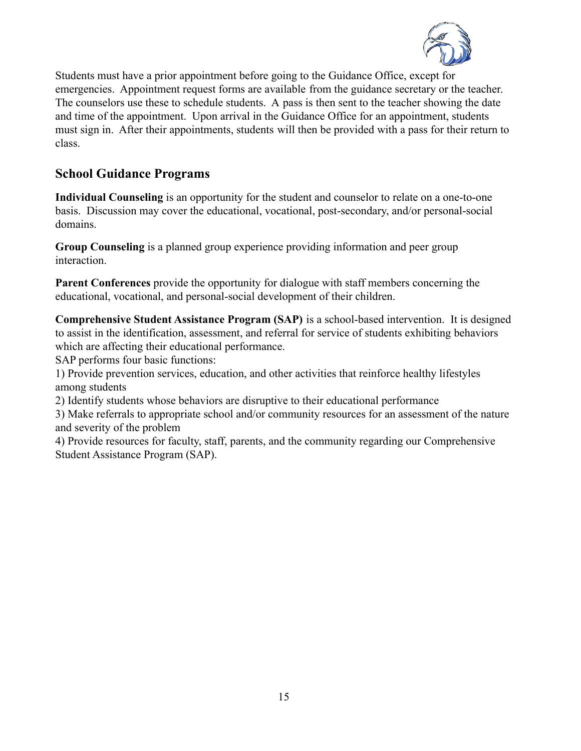

Students must have a prior appointment before going to the Guidance Office, except for emergencies. Appointment request forms are available from the guidance secretary or the teacher. The counselors use these to schedule students. A pass is then sent to the teacher showing the date and time of the appointment. Upon arrival in the Guidance Office for an appointment, students must sign in. After their appointments, students will then be provided with a pass for their return to class.

# **School Guidance Programs**

**Individual Counseling** is an opportunity for the student and counselor to relate on a one-to-one basis. Discussion may cover the educational, vocational, post-secondary, and/or personal-social domains.

**Group Counseling** is a planned group experience providing information and peer group interaction.

**Parent Conferences** provide the opportunity for dialogue with staff members concerning the educational, vocational, and personal-social development of their children.

**Comprehensive Student Assistance Program (SAP)** is a school-based intervention. It is designed to assist in the identification, assessment, and referral for service of students exhibiting behaviors which are affecting their educational performance.

SAP performs four basic functions:

1) Provide prevention services, education, and other activities that reinforce healthy lifestyles among students

2) Identify students whose behaviors are disruptive to their educational performance

3) Make referrals to appropriate school and/or community resources for an assessment of the nature and severity of the problem

4) Provide resources for faculty, staff, parents, and the community regarding our Comprehensive Student Assistance Program (SAP).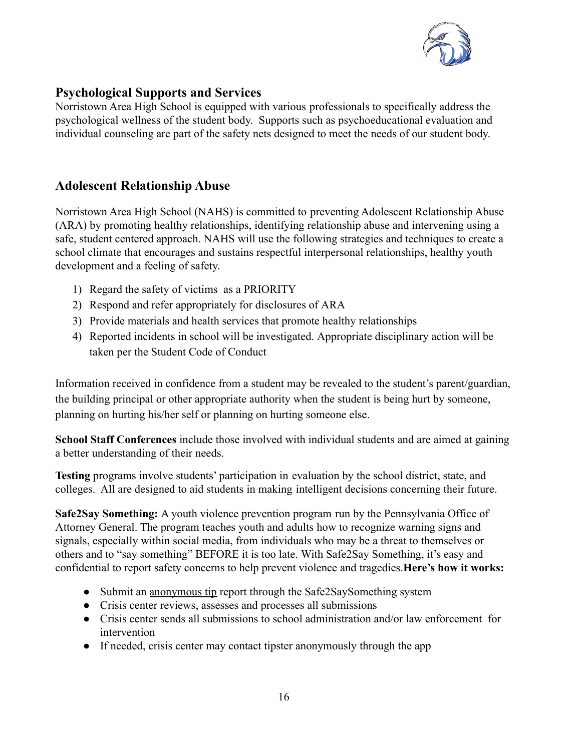

# **Psychological Supports and Services**

Norristown Area High School is equipped with various professionals to specifically address the psychological wellness of the student body. Supports such as psychoeducational evaluation and individual counseling are part of the safety nets designed to meet the needs of our student body.

### **Adolescent Relationship Abuse**

Norristown Area High School (NAHS) is committed to preventing Adolescent Relationship Abuse (ARA) by promoting healthy relationships, identifying relationship abuse and intervening using a safe, student centered approach. NAHS will use the following strategies and techniques to create a school climate that encourages and sustains respectful interpersonal relationships, healthy youth development and a feeling of safety.

- 1) Regard the safety of victims as a PRIORITY
- 2) Respond and refer appropriately for disclosures of ARA
- 3) Provide materials and health services that promote healthy relationships
- 4) Reported incidents in school will be investigated. Appropriate disciplinary action will be taken per the Student Code of Conduct

Information received in confidence from a student may be revealed to the student's parent/guardian, the building principal or other appropriate authority when the student is being hurt by someone, planning on hurting his/her self or planning on hurting someone else.

**School Staff Conferences** include those involved with individual students and are aimed at gaining a better understanding of their needs.

**Testing** programs involve students' participation in evaluation by the school district, state, and colleges. All are designed to aid students in making intelligent decisions concerning their future.

**Safe2Say Something:** A youth violence prevention program run by the Pennsylvania Office of Attorney General. The program teaches youth and adults how to recognize warning signs and signals, especially within social media, from individuals who may be a threat to themselves or others and to "say something" BEFORE it is too late. With Safe2Say Something, it's easy and confidential to report safety concerns to help prevent violence and tragedies.**Here's how it works:**

- Submit an anonymous tip report through the Safe2SaySomething system
- Crisis center reviews, assesses and processes all submissions
- Crisis center sends all submissions to school administration and/or law enforcement for intervention
- If needed, crisis center may contact tipster anonymously through the app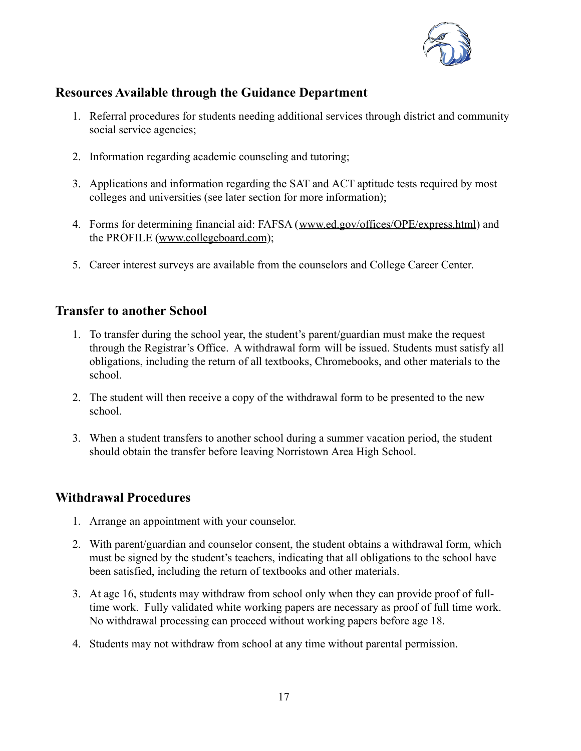

# **Resources Available through the Guidance Department**

- 1. Referral procedures for students needing additional services through district and community social service agencies;
- 2. Information regarding academic counseling and tutoring;
- 3. Applications and information regarding the SAT and ACT aptitude tests required by most colleges and universities (see later section for more information);
- 4. Forms for determining financial aid: FAFSA ([www.ed.gov/offices/OPE/express.html](http://www.ed.gov/offices/OPE/express.html)) and the PROFILE ([www.collegeboard.com](http://www.collegeboard.com));
- 5. Career interest surveys are available from the counselors and College Career Center.

# **Transfer to another School**

- 1. To transfer during the school year, the student's parent/guardian must make the request through the Registrar's Office. A withdrawal form will be issued. Students must satisfy all obligations, including the return of all textbooks, Chromebooks, and other materials to the school.
- 2. The student will then receive a copy of the withdrawal form to be presented to the new school.
- 3. When a student transfers to another school during a summer vacation period, the student should obtain the transfer before leaving Norristown Area High School.

# **Withdrawal Procedures**

- 1. Arrange an appointment with your counselor.
- 2. With parent/guardian and counselor consent, the student obtains a withdrawal form, which must be signed by the student's teachers, indicating that all obligations to the school have been satisfied, including the return of textbooks and other materials.
- 3. At age 16, students may withdraw from school only when they can provide proof of fulltime work. Fully validated white working papers are necessary as proof of full time work. No withdrawal processing can proceed without working papers before age 18.
- 4. Students may not withdraw from school at any time without parental permission.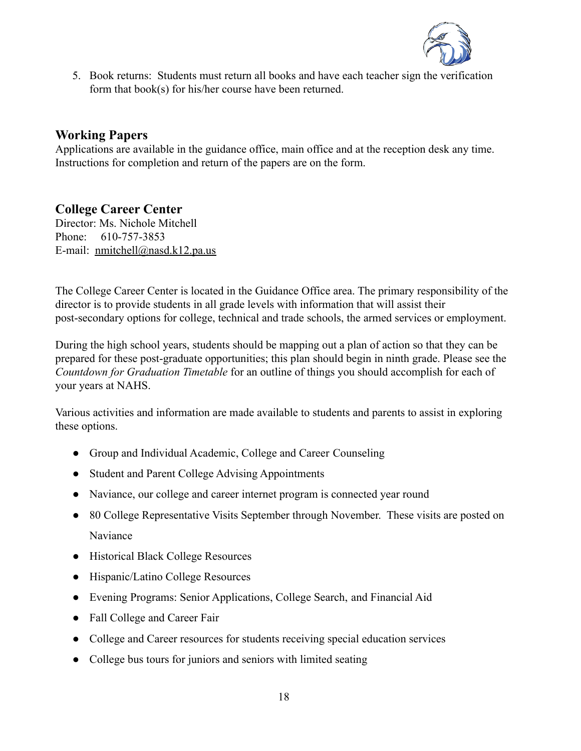

5. Book returns: Students must return all books and have each teacher sign the verification form that book(s) for his/her course have been returned.

# **Working Papers**

Applications are available in the guidance office, main office and at the reception desk any time. Instructions for completion and return of the papers are on the form.

# **College Career Center**

Director: Ms. Nichole Mitchell Phone: 610-757-3853 E-mail: [nmitchell@nasd.k12.pa.us](mailto:nmitchell@nasd.k12.pa.us)

The College Career Center is located in the Guidance Office area. The primary responsibility of the director is to provide students in all grade levels with information that will assist their post-secondary options for college, technical and trade schools, the armed services or employment.

During the high school years, students should be mapping out a plan of action so that they can be prepared for these post-graduate opportunities; this plan should begin in ninth grade. Please see the *Countdown for Graduation Timetable* for an outline of things you should accomplish for each of your years at NAHS.

Various activities and information are made available to students and parents to assist in exploring these options.

- Group and Individual Academic, College and Career Counseling
- Student and Parent College Advising Appointments
- Naviance, our college and career internet program is connected year round
- 80 College Representative Visits September through November. These visits are posted on Naviance
- Historical Black College Resources
- Hispanic/Latino College Resources
- Evening Programs: Senior Applications, College Search, and Financial Aid
- Fall College and Career Fair
- College and Career resources for students receiving special education services
- College bus tours for juniors and seniors with limited seating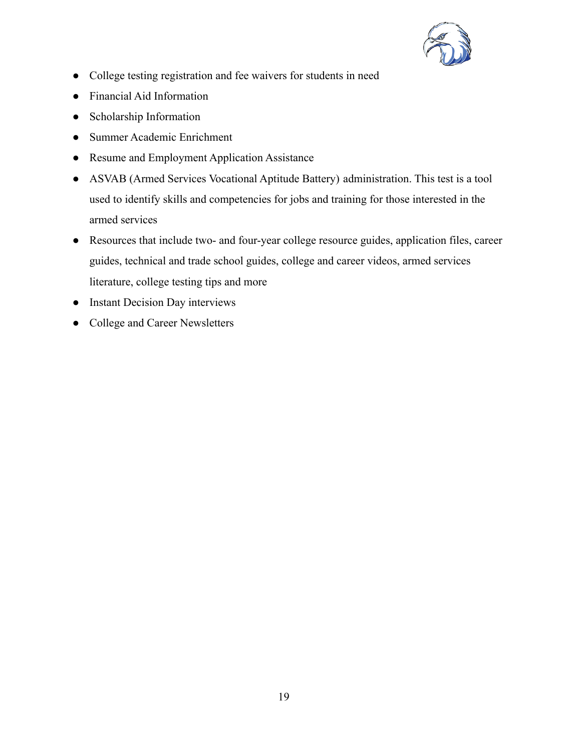

- College testing registration and fee waivers for students in need
- Financial Aid Information
- Scholarship Information
- Summer Academic Enrichment
- Resume and Employment Application Assistance
- ASVAB (Armed Services Vocational Aptitude Battery) administration. This test is a tool used to identify skills and competencies for jobs and training for those interested in the armed services
- Resources that include two- and four-year college resource guides, application files, career guides, technical and trade school guides, college and career videos, armed services literature, college testing tips and more
- Instant Decision Day interviews
- College and Career Newsletters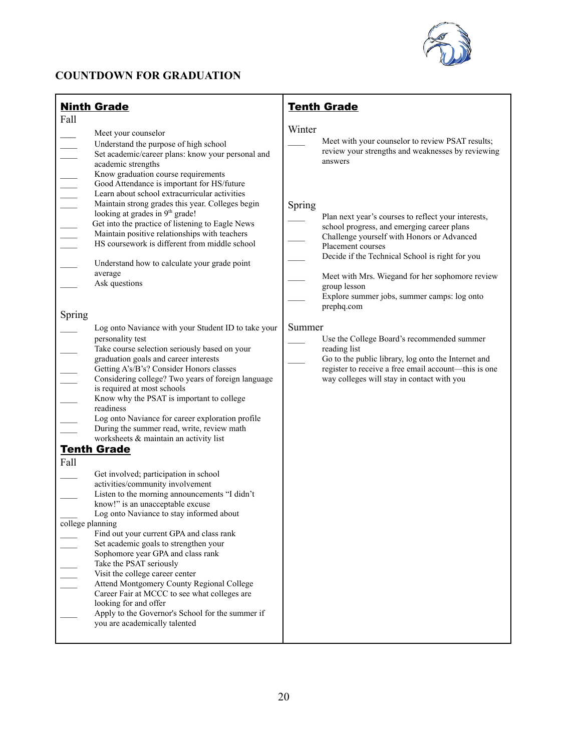

# **COUNTDOWN FOR GRADUATION**

| <b>Ninth Grade</b>                                                                                                                                                                                                                                                                                                                                                                                                                                                                                                                                                                                                                                                                                                                                                                                                                                                                                                                                                                                                                                                                                                                                                                                                                                                                                                                                                                                                                                                                                                                                                                                                                                                     | <b>Tenth Grade</b>                                                                                                                                                                                                                                                                                                                                                                                                                                                                                                                                                                                                                                                                                                                   |
|------------------------------------------------------------------------------------------------------------------------------------------------------------------------------------------------------------------------------------------------------------------------------------------------------------------------------------------------------------------------------------------------------------------------------------------------------------------------------------------------------------------------------------------------------------------------------------------------------------------------------------------------------------------------------------------------------------------------------------------------------------------------------------------------------------------------------------------------------------------------------------------------------------------------------------------------------------------------------------------------------------------------------------------------------------------------------------------------------------------------------------------------------------------------------------------------------------------------------------------------------------------------------------------------------------------------------------------------------------------------------------------------------------------------------------------------------------------------------------------------------------------------------------------------------------------------------------------------------------------------------------------------------------------------|--------------------------------------------------------------------------------------------------------------------------------------------------------------------------------------------------------------------------------------------------------------------------------------------------------------------------------------------------------------------------------------------------------------------------------------------------------------------------------------------------------------------------------------------------------------------------------------------------------------------------------------------------------------------------------------------------------------------------------------|
| Fall<br>Meet your counselor<br>Understand the purpose of high school<br>Set academic/career plans: know your personal and<br>$\frac{1}{1}$<br>academic strengths<br>Know graduation course requirements<br>Good Attendance is important for HS/future<br>Learn about school extracurricular activities<br>Maintain strong grades this year. Colleges begin<br>looking at grades in 9 <sup>th</sup> grade!<br>Get into the practice of listening to Eagle News<br>Maintain positive relationships with teachers<br>HS coursework is different from middle school<br>Understand how to calculate your grade point<br>average<br>Ask questions<br>Spring<br>Log onto Naviance with your Student ID to take your<br>personality test<br>Take course selection seriously based on your<br>graduation goals and career interests<br>Getting A's/B's? Consider Honors classes<br>Considering college? Two years of foreign language<br>is required at most schools<br>Know why the PSAT is important to college<br>readiness<br>Log onto Naviance for career exploration profile<br>During the summer read, write, review math<br>worksheets & maintain an activity list<br><b>Tenth Grade</b><br>Fall<br>Get involved; participation in school<br>activities/community involvement<br>Listen to the morning announcements "I didn't<br>know!" is an unacceptable excuse<br>Log onto Naviance to stay informed about<br>college planning<br>Find out your current GPA and class rank<br>Set academic goals to strengthen your<br>Sophomore year GPA and class rank<br>Take the PSAT seriously<br>Visit the college career center<br>Attend Montgomery County Regional College | Winter<br>Meet with your counselor to review PSAT results;<br>review your strengths and weaknesses by reviewing<br>answers<br>Spring<br>Plan next year's courses to reflect your interests,<br>school progress, and emerging career plans<br>Challenge yourself with Honors or Advanced<br>Placement courses<br>Decide if the Technical School is right for you<br>Meet with Mrs. Wiegand for her sophomore review<br>group lesson<br>Explore summer jobs, summer camps: log onto<br>prephq.com<br>Summer<br>Use the College Board's recommended summer<br>reading list<br>Go to the public library, log onto the Internet and<br>register to receive a free email account-this is one<br>way colleges will stay in contact with you |
| Career Fair at MCCC to see what colleges are<br>looking for and offer<br>Apply to the Governor's School for the summer if<br>you are academically talented                                                                                                                                                                                                                                                                                                                                                                                                                                                                                                                                                                                                                                                                                                                                                                                                                                                                                                                                                                                                                                                                                                                                                                                                                                                                                                                                                                                                                                                                                                             |                                                                                                                                                                                                                                                                                                                                                                                                                                                                                                                                                                                                                                                                                                                                      |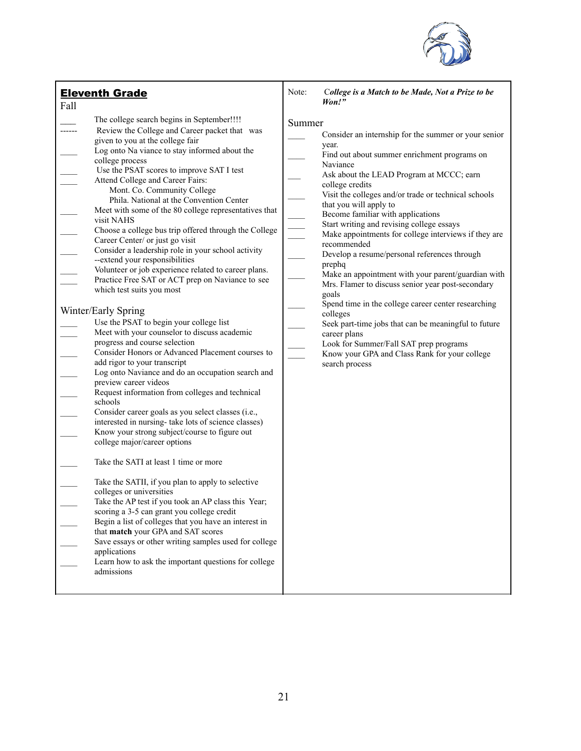

| <b>Eleventh Grade</b><br>Fall                                                                                                                                                                                                                                                                                                                                                                                                                                                                                                                                                                                                                                                                                                                                                                                                                                                                                                                                                                                                                                                                                                                                                                                                                                                                                                                                                                                                                                                                                                                                                                                                                                                                                                                                                                                                      | Note:<br>College is a Match to be Made, Not a Prize to be<br>Won!"                                                                                                                                                                                                                                                                                                                                                                                                                                                                                                                                                                                                                                                                                                                                                                                                                  |
|------------------------------------------------------------------------------------------------------------------------------------------------------------------------------------------------------------------------------------------------------------------------------------------------------------------------------------------------------------------------------------------------------------------------------------------------------------------------------------------------------------------------------------------------------------------------------------------------------------------------------------------------------------------------------------------------------------------------------------------------------------------------------------------------------------------------------------------------------------------------------------------------------------------------------------------------------------------------------------------------------------------------------------------------------------------------------------------------------------------------------------------------------------------------------------------------------------------------------------------------------------------------------------------------------------------------------------------------------------------------------------------------------------------------------------------------------------------------------------------------------------------------------------------------------------------------------------------------------------------------------------------------------------------------------------------------------------------------------------------------------------------------------------------------------------------------------------|-------------------------------------------------------------------------------------------------------------------------------------------------------------------------------------------------------------------------------------------------------------------------------------------------------------------------------------------------------------------------------------------------------------------------------------------------------------------------------------------------------------------------------------------------------------------------------------------------------------------------------------------------------------------------------------------------------------------------------------------------------------------------------------------------------------------------------------------------------------------------------------|
| The college search begins in September!!!!<br>Review the College and Career packet that was<br>given to you at the college fair<br>Log onto Na viance to stay informed about the<br>college process<br>Use the PSAT scores to improve SAT I test<br>Attend College and Career Fairs:<br>Mont. Co. Community College<br>Phila. National at the Convention Center<br>Meet with some of the 80 college representatives that<br>visit NAHS<br>Choose a college bus trip offered through the College<br>Career Center/ or just go visit<br>Consider a leadership role in your school activity<br>--extend your responsibilities<br>Volunteer or job experience related to career plans.<br>Practice Free SAT or ACT prep on Naviance to see<br>which test suits you most<br>Winter/Early Spring<br>Use the PSAT to begin your college list<br>Meet with your counselor to discuss academic<br>progress and course selection<br>Consider Honors or Advanced Placement courses to<br>add rigor to your transcript<br>Log onto Naviance and do an occupation search and<br>preview career videos<br>Request information from colleges and technical<br>schools<br>Consider career goals as you select classes (i.e.,<br>interested in nursing- take lots of science classes)<br>Know your strong subject/course to figure out<br>college major/career options<br>Take the SATI at least 1 time or more<br>Take the SATII, if you plan to apply to selective<br>colleges or universities<br>Take the AP test if you took an AP class this Year;<br>scoring a 3-5 can grant you college credit<br>Begin a list of colleges that you have an interest in<br>that match your GPA and SAT scores<br>Save essays or other writing samples used for college<br>applications<br>Learn how to ask the important questions for college<br>admissions | Summer<br>Consider an internship for the summer or your senior<br>year.<br>Find out about summer enrichment programs on<br>Naviance<br>Ask about the LEAD Program at MCCC; earn<br>college credits<br>Visit the colleges and/or trade or technical schools<br>that you will apply to<br>Become familiar with applications<br>Start writing and revising college essays<br>Make appointments for college interviews if they are<br>recommended<br>Develop a resume/personal references through<br>prephq<br>Make an appointment with your parent/guardian with<br>Mrs. Flamer to discuss senior year post-secondary<br>goals<br>Spend time in the college career center researching<br>colleges<br>Seek part-time jobs that can be meaningful to future<br>career plans<br>Look for Summer/Fall SAT prep programs<br>Know your GPA and Class Rank for your college<br>search process |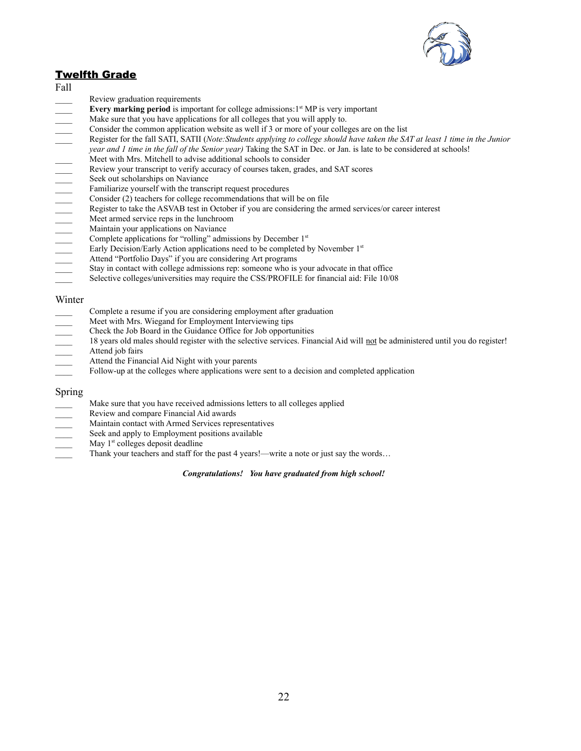

#### **Twelfth Grade**

- Fall
- Review graduation requirements
- 
- Make sure that you have applications for all colleges that you will apply to.
- Consider the common application website as well if 3 or more of your colleges are on the list
- **Every marking period** is important for college admissions:1<sup>s</sup> MP is very important<br>Make sure that you have application website as well if 3 or more of your colleges are of<br>Consider the common application website as well \_\_\_\_ Register for the fall SATI, SATII (*Note:Students applying to college should have taken the SAT at least 1 time in the Junior*
- *year and 1 time in the fall of the Senior year)* Taking the SAT in Dec. or Jan. is late to be considered at schools!
- Meet with Mrs. Mitchell to advise additional schools to consider
- Review your transcript to verify accuracy of courses taken, grades, and SAT scores
- Seek out scholarships on Naviance
- Familiarize yourself with the transcript request procedures
- Consider (2) teachers for college recommendations that will be on file
- Register to take the ASVAB test in October if you are considering the armed services/or career interest
- Meet armed service reps in the lunchroom
- Maintain your applications on Naviance
- Complete applications for "rolling" admissions by December 1st
- Early Decision/Early Action applications need to be completed by November 1st
- Attend "Portfolio Days" if you are considering Art programs
- Stay in contact with college admissions rep: someone who is your advocate in that office
- Selective colleges/universities may require the CSS/PROFILE for financial aid: File 10/08

#### Winter

- Complete a resume if you are considering employment after graduation
- Meet with Mrs. Wiegand for Employment Interviewing tips
- \_\_\_\_ Check the Job Board in the Guidance Office for Job opportunities
- 18 years old males should register with the selective services. Financial Aid will not be administered until you do register!
- Attend job fairs
- Attend the Financial Aid Night with your parents
- Follow-up at the colleges where applications were sent to a decision and completed application

#### Spring

- Make sure that you have received admissions letters to all colleges applied
- \_\_\_\_ Review and compare Financial Aid awards
- \_\_\_\_ Maintain contact with Armed Services representatives
- Seek and apply to Employment positions available
- May 1<sup>st</sup> colleges deposit deadline
- Thank your teachers and staff for the past 4 years!—write a note or just say the words…

#### *Congratulations! You have graduated from high school!*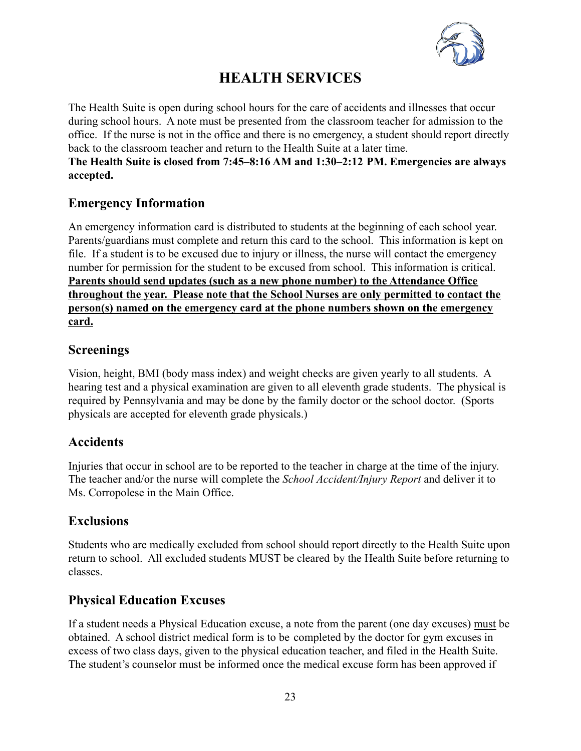

# **HEALTH SERVICES**

The Health Suite is open during school hours for the care of accidents and illnesses that occur during school hours. A note must be presented from the classroom teacher for admission to the office. If the nurse is not in the office and there is no emergency, a student should report directly back to the classroom teacher and return to the Health Suite at a later time.

**The Health Suite is closed from 7:45–8:16 AM and 1:30–2:12 PM. Emergencies are always accepted.**

# **Emergency Information**

An emergency information card is distributed to students at the beginning of each school year. Parents/guardians must complete and return this card to the school. This information is kept on file. If a student is to be excused due to injury or illness, the nurse will contact the emergency number for permission for the student to be excused from school. This information is critical. **Parents should send updates (such as a new phone number) to the Attendance Office throughout the year. Please note that the School Nurses are only permitted to contact the person(s) named on the emergency card at the phone numbers shown on the emergency card.**

### **Screenings**

Vision, height, BMI (body mass index) and weight checks are given yearly to all students. A hearing test and a physical examination are given to all eleventh grade students. The physical is required by Pennsylvania and may be done by the family doctor or the school doctor. (Sports physicals are accepted for eleventh grade physicals.)

# **Accidents**

Injuries that occur in school are to be reported to the teacher in charge at the time of the injury. The teacher and/or the nurse will complete the *School Accident/Injury Report* and deliver it to Ms. Corropolese in the Main Office.

# **Exclusions**

Students who are medically excluded from school should report directly to the Health Suite upon return to school. All excluded students MUST be cleared by the Health Suite before returning to classes.

# **Physical Education Excuses**

If a student needs a Physical Education excuse, a note from the parent (one day excuses) must be obtained. A school district medical form is to be completed by the doctor for gym excuses in excess of two class days, given to the physical education teacher, and filed in the Health Suite. The student's counselor must be informed once the medical excuse form has been approved if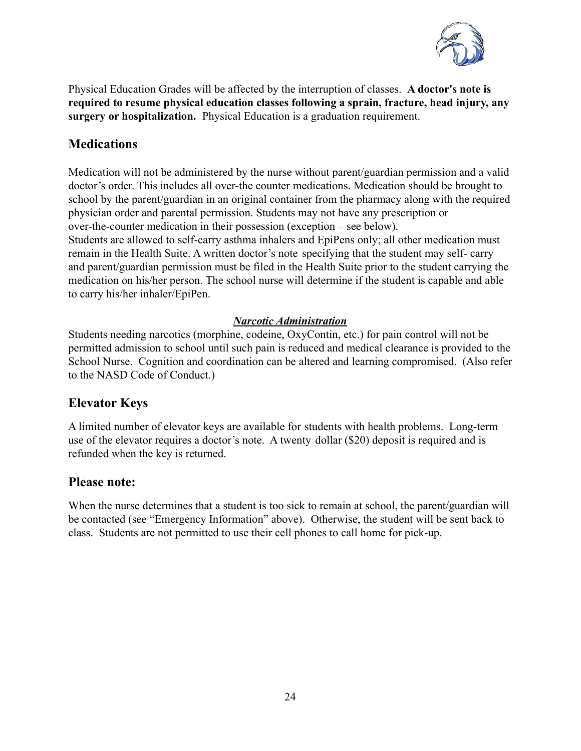

Physical Education Grades will be affected by the interruption of classes. **A doctor's note is required to resume physical education classes following a sprain, fracture, head injury, any surgery or hospitalization.** Physical Education is a graduation requirement.

# **Medications**

Medication will not be administered by the nurse without parent/guardian permission and a valid doctor's order. This includes all over-the counter medications. Medication should be brought to school by the parent/guardian in an original container from the pharmacy along with the required physician order and parental permission. Students may not have any prescription or over-the-counter medication in their possession (exception – see below).

Students are allowed to self-carry asthma inhalers and EpiPens only; all other medication must remain in the Health Suite. A written doctor's note specifying that the student may self- carry and parent/guardian permission must be filed in the Health Suite prior to the student carrying the medication on his/her person. The school nurse will determine if the student is capable and able to carry his/her inhaler/EpiPen.

### *Narcotic Administration*

Students needing narcotics (morphine, codeine, OxyContin, etc.) for pain control will not be permitted admission to school until such pain is reduced and medical clearance is provided to the School Nurse. Cognition and coordination can be altered and learning compromised. (Also refer to the NASD Code of Conduct.)

# **Elevator Keys**

A limited number of elevator keys are available for students with health problems. Long-term use of the elevator requires a doctor's note. A twenty dollar (\$20) deposit is required and is refunded when the key is returned.

### **Please note:**

When the nurse determines that a student is too sick to remain at school, the parent/guardian will be contacted (see "Emergency Information" above). Otherwise, the student will be sent back to class. Students are not permitted to use their cell phones to call home for pick-up.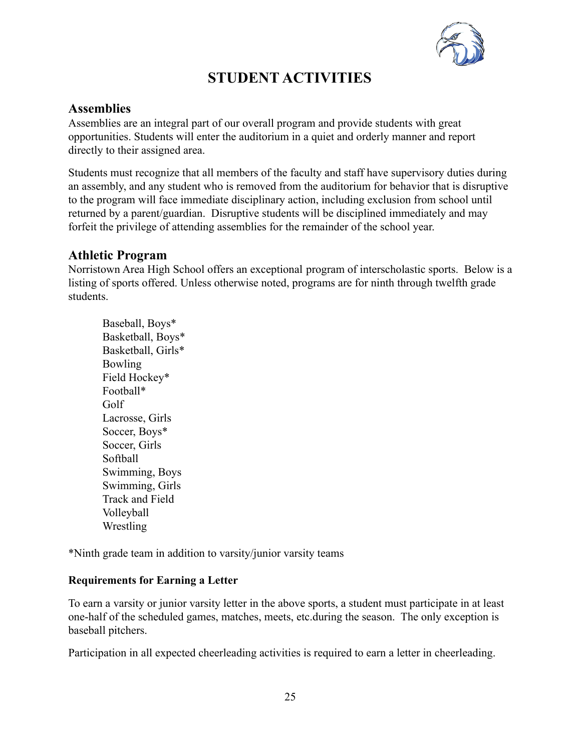

# **STUDENT ACTIVITIES**

### **Assemblies**

Assemblies are an integral part of our overall program and provide students with great opportunities. Students will enter the auditorium in a quiet and orderly manner and report directly to their assigned area.

Students must recognize that all members of the faculty and staff have supervisory duties during an assembly, and any student who is removed from the auditorium for behavior that is disruptive to the program will face immediate disciplinary action, including exclusion from school until returned by a parent/guardian. Disruptive students will be disciplined immediately and may forfeit the privilege of attending assemblies for the remainder of the school year.

# **Athletic Program**

Norristown Area High School offers an exceptional program of interscholastic sports. Below is a listing of sports offered. Unless otherwise noted, programs are for ninth through twelfth grade students.

Baseball, Boys\* Basketball, Boys\* Basketball, Girls\* Bowling Field Hockey\* Football\* Golf Lacrosse, Girls Soccer, Boys\* Soccer, Girls Softball Swimming, Boys Swimming, Girls Track and Field Volleyball **Wrestling** 

\*Ninth grade team in addition to varsity/junior varsity teams

#### **Requirements for Earning a Letter**

To earn a varsity or junior varsity letter in the above sports, a student must participate in at least one-half of the scheduled games, matches, meets, etc.during the season. The only exception is baseball pitchers.

Participation in all expected cheerleading activities is required to earn a letter in cheerleading.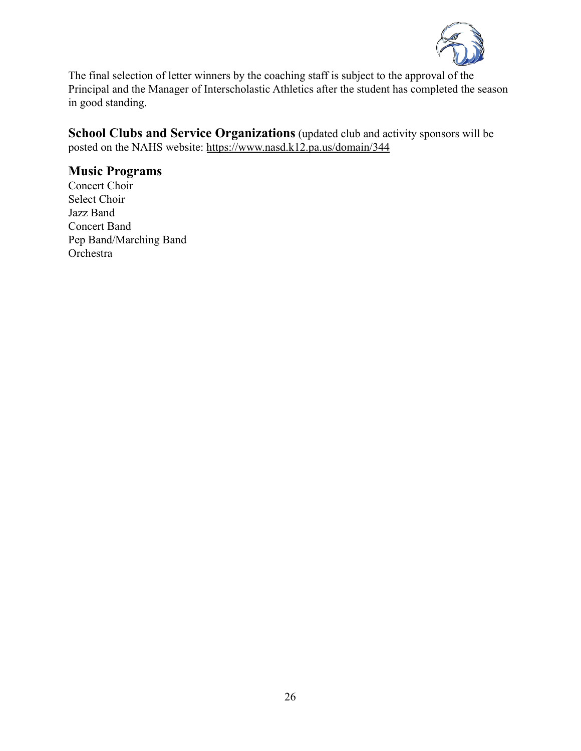

The final selection of letter winners by the coaching staff is subject to the approval of the Principal and the Manager of Interscholastic Athletics after the student has completed the season in good standing.

**School Clubs and Service Organizations** (updated club and activity sponsors will be posted on the NAHS website: <https://www.nasd.k12.pa.us/domain/344>

# **Music Programs**

Concert Choir Select Choir Jazz Band Concert Band Pep Band/Marching Band Orchestra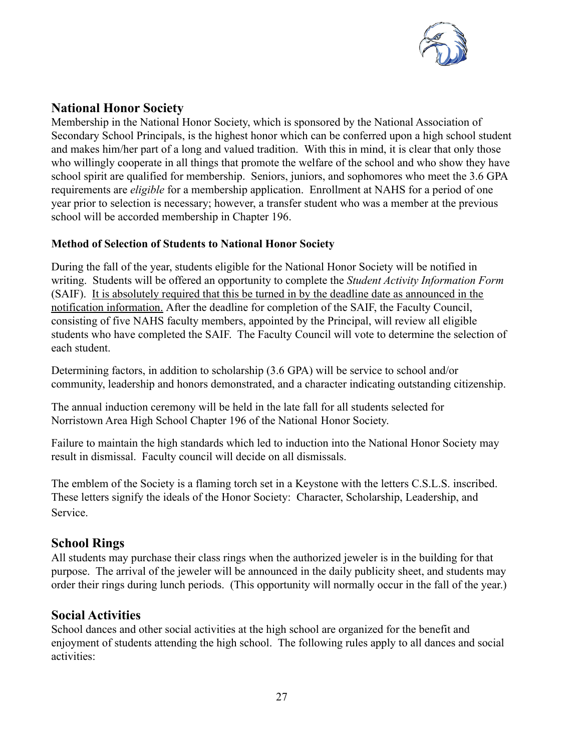

# **National Honor Society**

Membership in the National Honor Society, which is sponsored by the National Association of Secondary School Principals, is the highest honor which can be conferred upon a high school student and makes him/her part of a long and valued tradition. With this in mind, it is clear that only those who willingly cooperate in all things that promote the welfare of the school and who show they have school spirit are qualified for membership. Seniors, juniors, and sophomores who meet the 3.6 GPA requirements are *eligible* for a membership application. Enrollment at NAHS for a period of one year prior to selection is necessary; however, a transfer student who was a member at the previous school will be accorded membership in Chapter 196.

#### **Method of Selection of Students to National Honor Society**

During the fall of the year, students eligible for the National Honor Society will be notified in writing. Students will be offered an opportunity to complete the *Student Activity Information Form* (SAIF). It is absolutely required that this be turned in by the deadline date as announced in the notification information. After the deadline for completion of the SAIF, the Faculty Council, consisting of five NAHS faculty members, appointed by the Principal, will review all eligible students who have completed the SAIF. The Faculty Council will vote to determine the selection of each student.

Determining factors, in addition to scholarship (3.6 GPA) will be service to school and/or community, leadership and honors demonstrated, and a character indicating outstanding citizenship.

The annual induction ceremony will be held in the late fall for all students selected for Norristown Area High School Chapter 196 of the National Honor Society.

Failure to maintain the high standards which led to induction into the National Honor Society may result in dismissal. Faculty council will decide on all dismissals.

The emblem of the Society is a flaming torch set in a Keystone with the letters C.S.L.S. inscribed. These letters signify the ideals of the Honor Society: Character, Scholarship, Leadership, and Service.

# **School Rings**

All students may purchase their class rings when the authorized jeweler is in the building for that purpose. The arrival of the jeweler will be announced in the daily publicity sheet, and students may order their rings during lunch periods. (This opportunity will normally occur in the fall of the year.)

### **Social Activities**

School dances and other social activities at the high school are organized for the benefit and enjoyment of students attending the high school. The following rules apply to all dances and social activities: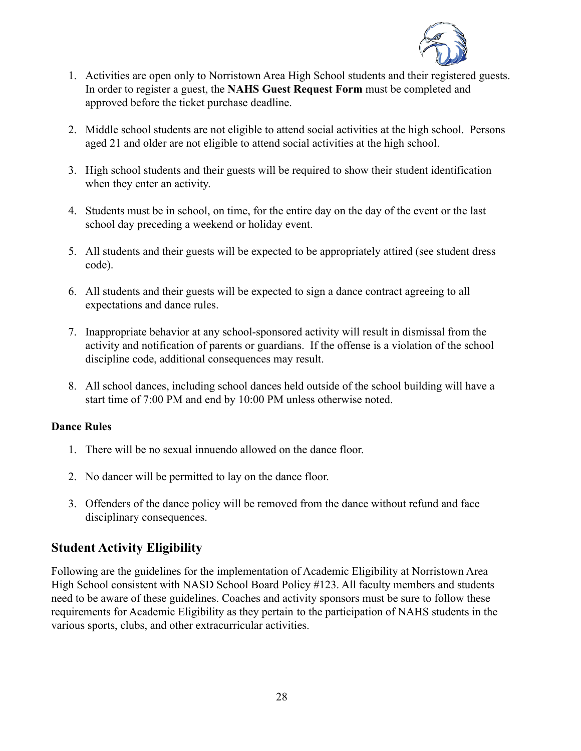

- 1. Activities are open only to Norristown Area High School students and their registered guests. In order to register a guest, the **NAHS Guest Request Form** must be completed and approved before the ticket purchase deadline.
- 2. Middle school students are not eligible to attend social activities at the high school. Persons aged 21 and older are not eligible to attend social activities at the high school.
- 3. High school students and their guests will be required to show their student identification when they enter an activity.
- 4. Students must be in school, on time, for the entire day on the day of the event or the last school day preceding a weekend or holiday event.
- 5. All students and their guests will be expected to be appropriately attired (see student dress code).
- 6. All students and their guests will be expected to sign a dance contract agreeing to all expectations and dance rules.
- 7. Inappropriate behavior at any school-sponsored activity will result in dismissal from the activity and notification of parents or guardians. If the offense is a violation of the school discipline code, additional consequences may result.
- 8. All school dances, including school dances held outside of the school building will have a start time of 7:00 PM and end by 10:00 PM unless otherwise noted.

#### **Dance Rules**

- 1. There will be no sexual innuendo allowed on the dance floor.
- 2. No dancer will be permitted to lay on the dance floor.
- 3. Offenders of the dance policy will be removed from the dance without refund and face disciplinary consequences.

# **Student Activity Eligibility**

Following are the guidelines for the implementation of Academic Eligibility at Norristown Area High School consistent with NASD School Board Policy #123. All faculty members and students need to be aware of these guidelines. Coaches and activity sponsors must be sure to follow these requirements for Academic Eligibility as they pertain to the participation of NAHS students in the various sports, clubs, and other extracurricular activities.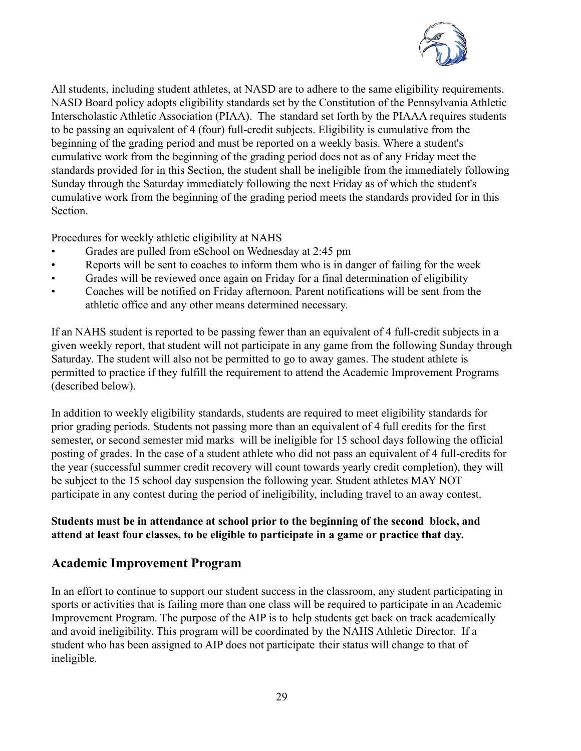

All students, including student athletes, at NASD are to adhere to the same eligibility requirements. NASD Board policy adopts eligibility standards set by the Constitution of the Pennsylvania Athletic Interscholastic Athletic Association (PIAA). The standard set forth by the PIAAA requires students to be passing an equivalent of 4 (four) full-credit subjects. Eligibility is cumulative from the beginning of the grading period and must be reported on a weekly basis. Where a student's cumulative work from the beginning of the grading period does not as of any Friday meet the standards provided for in this Section, the student shall be ineligible from the immediately following Sunday through the Saturday immediately following the next Friday as of which the student's cumulative work from the beginning of the grading period meets the standards provided for in this Section.

Procedures for weekly athletic eligibility at NAHS

- Grades are pulled from eSchool on Wednesday at 2:45 pm
- Reports will be sent to coaches to inform them who is in danger of failing for the week
- Grades will be reviewed once again on Friday for a final determination of eligibility
- Coaches will be notified on Friday afternoon. Parent notifications will be sent from the athletic office and any other means determined necessary.

If an NAHS student is reported to be passing fewer than an equivalent of 4 full-credit subjects in a given weekly report, that student will not participate in any game from the following Sunday through Saturday. The student will also not be permitted to go to away games. The student athlete is permitted to practice if they fulfill the requirement to attend the Academic Improvement Programs (described below).

In addition to weekly eligibility standards, students are required to meet eligibility standards for prior grading periods. Students not passing more than an equivalent of 4 full credits for the first semester, or second semester mid marks will be ineligible for 15 school days following the official posting of grades. In the case of a student athlete who did not pass an equivalent of 4 full-credits for the year (successful summer credit recovery will count towards yearly credit completion), they will be subject to the 15 school day suspension the following year. Student athletes MAY NOT participate in any contest during the period of ineligibility, including travel to an away contest.

### **Students must be in attendance at school prior to the beginning of the second block, and attend at least four classes, to be eligible to participate in a game or practice that day.**

### **Academic Improvement Program**

In an effort to continue to support our student success in the classroom, any student participating in sports or activities that is failing more than one class will be required to participate in an Academic Improvement Program. The purpose of the AIP is to help students get back on track academically and avoid ineligibility. This program will be coordinated by the NAHS Athletic Director. If a student who has been assigned to AIP does not participate their status will change to that of ineligible.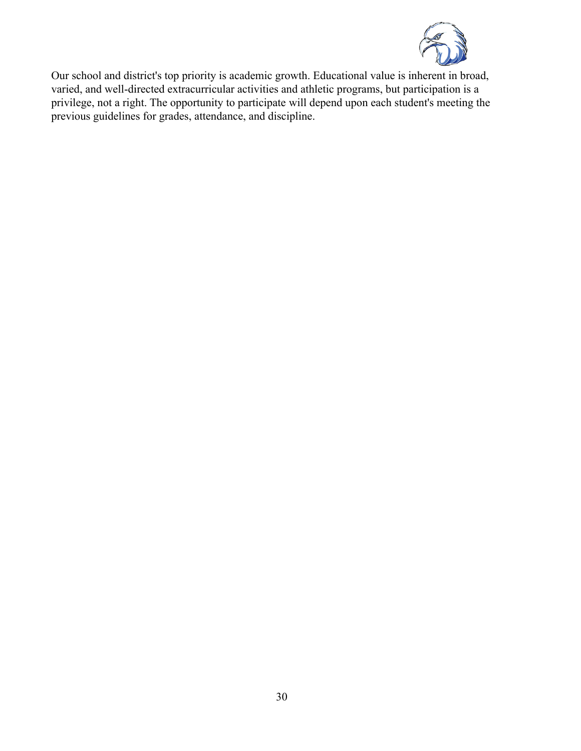

Our school and district's top priority is academic growth. Educational value is inherent in broad, varied, and well-directed extracurricular activities and athletic programs, but participation is a privilege, not a right. The opportunity to participate will depend upon each student's meeting the previous guidelines for grades, attendance, and discipline.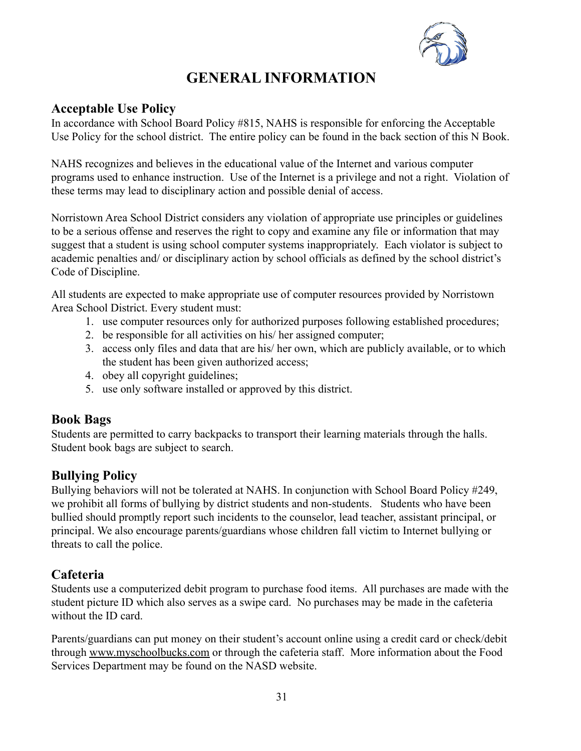

# **GENERAL INFORMATION**

# **Acceptable Use Policy**

In accordance with School Board Policy #815, NAHS is responsible for enforcing the Acceptable Use Policy for the school district. The entire policy can be found in the back section of this N Book.

NAHS recognizes and believes in the educational value of the Internet and various computer programs used to enhance instruction. Use of the Internet is a privilege and not a right. Violation of these terms may lead to disciplinary action and possible denial of access.

Norristown Area School District considers any violation of appropriate use principles or guidelines to be a serious offense and reserves the right to copy and examine any file or information that may suggest that a student is using school computer systems inappropriately. Each violator is subject to academic penalties and/ or disciplinary action by school officials as defined by the school district's Code of Discipline.

All students are expected to make appropriate use of computer resources provided by Norristown Area School District. Every student must:

- 1. use computer resources only for authorized purposes following established procedures;
- 2. be responsible for all activities on his/ her assigned computer;
- 3. access only files and data that are his/ her own, which are publicly available, or to which the student has been given authorized access;
- 4. obey all copyright guidelines;
- 5. use only software installed or approved by this district.

# **Book Bags**

Students are permitted to carry backpacks to transport their learning materials through the halls. Student book bags are subject to search.

# **Bullying Policy**

Bullying behaviors will not be tolerated at NAHS. In conjunction with School Board Policy #249, we prohibit all forms of bullying by district students and non-students. Students who have been bullied should promptly report such incidents to the counselor, lead teacher, assistant principal, or principal. We also encourage parents/guardians whose children fall victim to Internet bullying or threats to call the police.

# **Cafeteria**

Students use a computerized debit program to purchase food items. All purchases are made with the student picture ID which also serves as a swipe card. No purchases may be made in the cafeteria without the ID card.

Parents/guardians can put money on their student's account online using a credit card or check/debit through [www.myschoolbucks.com](http://www.myschoolbucks.com) or through the cafeteria staff. More information about the Food Services Department may be found on the NASD website.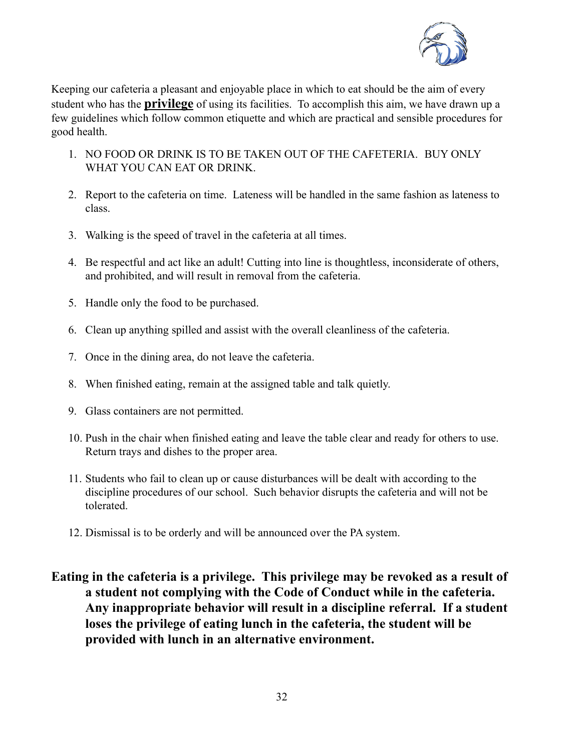

Keeping our cafeteria a pleasant and enjoyable place in which to eat should be the aim of every student who has the **privilege** of using its facilities. To accomplish this aim, we have drawn up a few guidelines which follow common etiquette and which are practical and sensible procedures for good health.

- 1. NO FOOD OR DRINK IS TO BE TAKEN OUT OF THE CAFETERIA. BUY ONLY WHAT YOU CAN EAT OR DRINK.
- 2. Report to the cafeteria on time. Lateness will be handled in the same fashion as lateness to class.
- 3. Walking is the speed of travel in the cafeteria at all times.
- 4. Be respectful and act like an adult! Cutting into line is thoughtless, inconsiderate of others, and prohibited, and will result in removal from the cafeteria.
- 5. Handle only the food to be purchased.
- 6. Clean up anything spilled and assist with the overall cleanliness of the cafeteria.
- 7. Once in the dining area, do not leave the cafeteria.
- 8. When finished eating, remain at the assigned table and talk quietly.
- 9. Glass containers are not permitted.
- 10. Push in the chair when finished eating and leave the table clear and ready for others to use. Return trays and dishes to the proper area.
- 11. Students who fail to clean up or cause disturbances will be dealt with according to the discipline procedures of our school. Such behavior disrupts the cafeteria and will not be tolerated.
- 12. Dismissal is to be orderly and will be announced over the PA system.
- **Eating in the cafeteria is a privilege. This privilege may be revoked as a result of a student not complying with the Code of Conduct while in the cafeteria. Any inappropriate behavior will result in a discipline referral. If a student loses the privilege of eating lunch in the cafeteria, the student will be provided with lunch in an alternative environment.**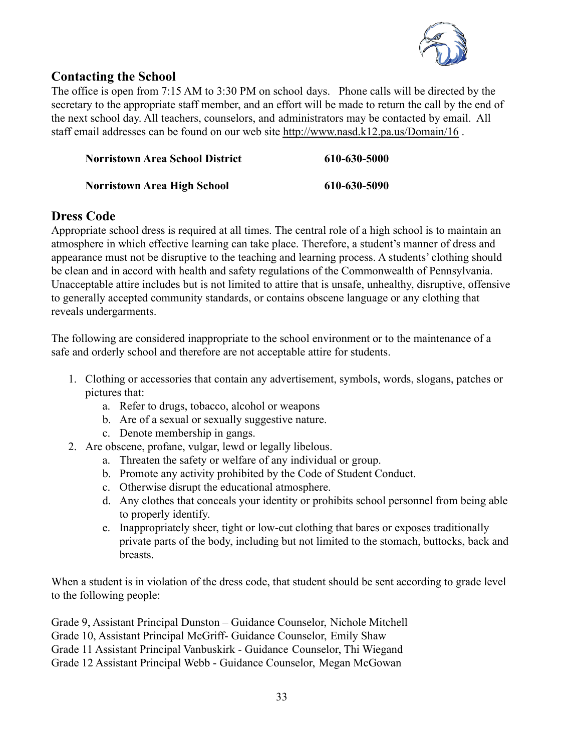

# **Contacting the School**

The office is open from 7:15 AM to 3:30 PM on school days. Phone calls will be directed by the secretary to the appropriate staff member, and an effort will be made to return the call by the end of the next school day. All teachers, counselors, and administrators may be contacted by email. All staff email addresses can be found on our web site <http://www.nasd.k12.pa.us/Domain/16> .

| <b>Norristown Area School District</b> | 610-630-5000 |
|----------------------------------------|--------------|
| <b>Norristown Area High School</b>     | 610-630-5090 |

# **Dress Code**

Appropriate school dress is required at all times. The central role of a high school is to maintain an atmosphere in which effective learning can take place. Therefore, a student's manner of dress and appearance must not be disruptive to the teaching and learning process. A students' clothing should be clean and in accord with health and safety regulations of the Commonwealth of Pennsylvania. Unacceptable attire includes but is not limited to attire that is unsafe, unhealthy, disruptive, offensive to generally accepted community standards, or contains obscene language or any clothing that reveals undergarments.

The following are considered inappropriate to the school environment or to the maintenance of a safe and orderly school and therefore are not acceptable attire for students.

- 1. Clothing or accessories that contain any advertisement, symbols, words, slogans, patches or pictures that:
	- a. Refer to drugs, tobacco, alcohol or weapons
	- b. Are of a sexual or sexually suggestive nature.
	- c. Denote membership in gangs.
- 2. Are obscene, profane, vulgar, lewd or legally libelous.
	- a. Threaten the safety or welfare of any individual or group.
	- b. Promote any activity prohibited by the Code of Student Conduct.
	- c. Otherwise disrupt the educational atmosphere.
	- d. Any clothes that conceals your identity or prohibits school personnel from being able to properly identify.
	- e. Inappropriately sheer, tight or low-cut clothing that bares or exposes traditionally private parts of the body, including but not limited to the stomach, buttocks, back and breasts.

When a student is in violation of the dress code, that student should be sent according to grade level to the following people:

Grade 9, Assistant Principal Dunston – Guidance Counselor, Nichole Mitchell Grade 10, Assistant Principal McGriff- Guidance Counselor, Emily Shaw Grade 11 Assistant Principal Vanbuskirk - Guidance Counselor, Thi Wiegand Grade 12 Assistant Principal Webb - Guidance Counselor, Megan McGowan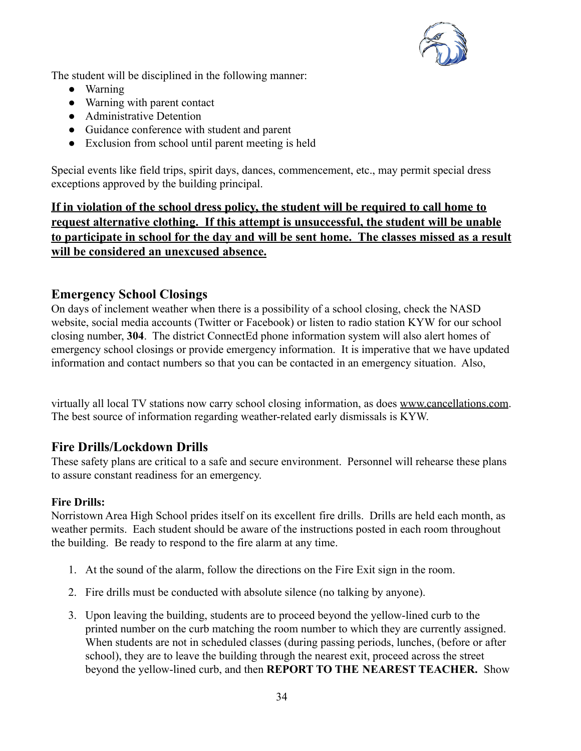

The student will be disciplined in the following manner:

- Warning
- Warning with parent contact
- Administrative Detention
- Guidance conference with student and parent
- Exclusion from school until parent meeting is held

Special events like field trips, spirit days, dances, commencement, etc., may permit special dress exceptions approved by the building principal.

**If in violation of the school dress policy, the student will be required to call home to request alternative clothing. If this attempt is unsuccessful, the student will be unable to participate in school for the day and will be sent home. The classes missed as a result will be considered an unexcused absence.**

# **Emergency School Closings**

On days of inclement weather when there is a possibility of a school closing, check the NASD website, social media accounts (Twitter or Facebook) or listen to radio station KYW for our school closing number, **304**. The district ConnectEd phone information system will also alert homes of emergency school closings or provide emergency information. It is imperative that we have updated information and contact numbers so that you can be contacted in an emergency situation. Also,

virtually all local TV stations now carry school closing information, as does [www.cancellations.com](http://www.cancellations.com). The best source of information regarding weather-related early dismissals is KYW.

# **Fire Drills/Lockdown Drills**

These safety plans are critical to a safe and secure environment. Personnel will rehearse these plans to assure constant readiness for an emergency.

### **Fire Drills:**

Norristown Area High School prides itself on its excellent fire drills. Drills are held each month, as weather permits. Each student should be aware of the instructions posted in each room throughout the building. Be ready to respond to the fire alarm at any time.

- 1. At the sound of the alarm, follow the directions on the Fire Exit sign in the room.
- 2. Fire drills must be conducted with absolute silence (no talking by anyone).
- 3. Upon leaving the building, students are to proceed beyond the yellow-lined curb to the printed number on the curb matching the room number to which they are currently assigned. When students are not in scheduled classes (during passing periods, lunches, (before or after school), they are to leave the building through the nearest exit, proceed across the street beyond the yellow-lined curb, and then **REPORT TO THE NEAREST TEACHER.** Show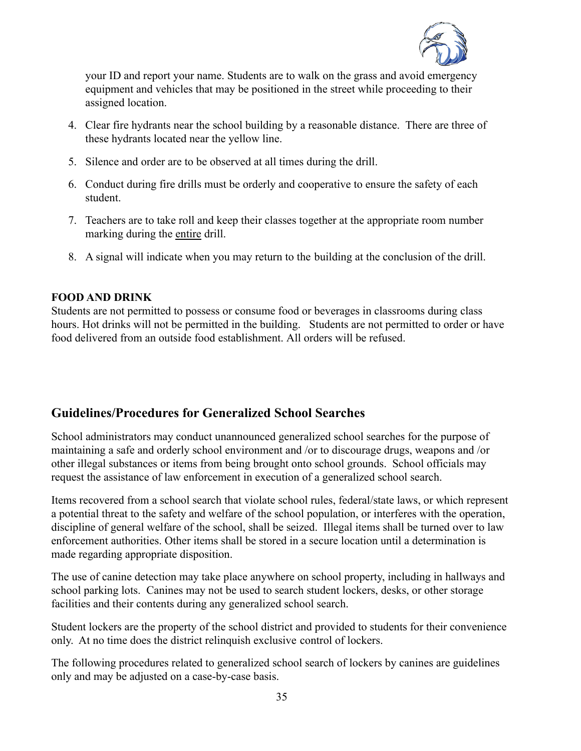

your ID and report your name. Students are to walk on the grass and avoid emergency equipment and vehicles that may be positioned in the street while proceeding to their assigned location.

- 4. Clear fire hydrants near the school building by a reasonable distance. There are three of these hydrants located near the yellow line.
- 5. Silence and order are to be observed at all times during the drill.
- 6. Conduct during fire drills must be orderly and cooperative to ensure the safety of each student.
- 7. Teachers are to take roll and keep their classes together at the appropriate room number marking during the entire drill.
- 8. A signal will indicate when you may return to the building at the conclusion of the drill.

#### **FOOD AND DRINK**

Students are not permitted to possess or consume food or beverages in classrooms during class hours. Hot drinks will not be permitted in the building. Students are not permitted to order or have food delivered from an outside food establishment. All orders will be refused.

# **Guidelines/Procedures for Generalized School Searches**

School administrators may conduct unannounced generalized school searches for the purpose of maintaining a safe and orderly school environment and /or to discourage drugs, weapons and /or other illegal substances or items from being brought onto school grounds. School officials may request the assistance of law enforcement in execution of a generalized school search.

Items recovered from a school search that violate school rules, federal/state laws, or which represent a potential threat to the safety and welfare of the school population, or interferes with the operation, discipline of general welfare of the school, shall be seized. Illegal items shall be turned over to law enforcement authorities. Other items shall be stored in a secure location until a determination is made regarding appropriate disposition.

The use of canine detection may take place anywhere on school property, including in hallways and school parking lots. Canines may not be used to search student lockers, desks, or other storage facilities and their contents during any generalized school search.

Student lockers are the property of the school district and provided to students for their convenience only. At no time does the district relinquish exclusive control of lockers.

The following procedures related to generalized school search of lockers by canines are guidelines only and may be adjusted on a case-by-case basis.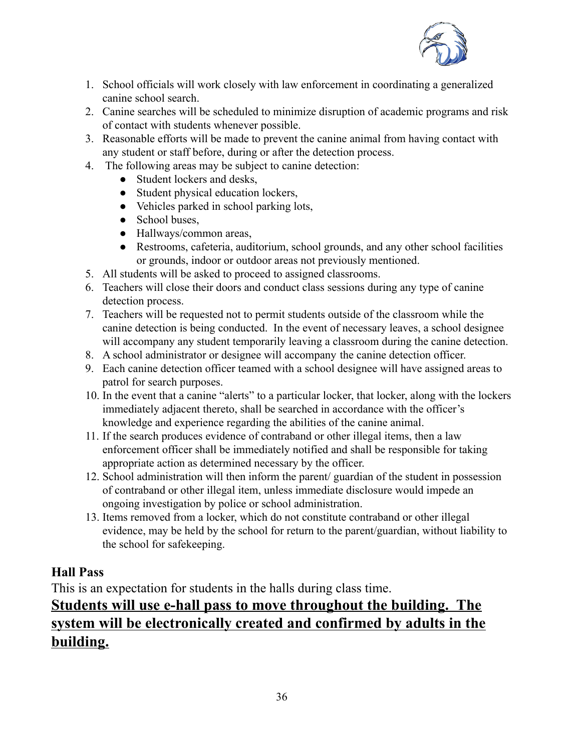

- 1. School officials will work closely with law enforcement in coordinating a generalized canine school search.
- 2. Canine searches will be scheduled to minimize disruption of academic programs and risk of contact with students whenever possible.
- 3. Reasonable efforts will be made to prevent the canine animal from having contact with any student or staff before, during or after the detection process.
- 4. The following areas may be subject to canine detection:
	- Student lockers and desks.
	- Student physical education lockers,
	- Vehicles parked in school parking lots,
	- School buses,
	- Hallways/common areas,
	- Restrooms, cafeteria, auditorium, school grounds, and any other school facilities or grounds, indoor or outdoor areas not previously mentioned.
- 5. All students will be asked to proceed to assigned classrooms.
- 6. Teachers will close their doors and conduct class sessions during any type of canine detection process.
- 7. Teachers will be requested not to permit students outside of the classroom while the canine detection is being conducted. In the event of necessary leaves, a school designee will accompany any student temporarily leaving a classroom during the canine detection.
- 8. A school administrator or designee will accompany the canine detection officer.
- 9. Each canine detection officer teamed with a school designee will have assigned areas to patrol for search purposes.
- 10. In the event that a canine "alerts" to a particular locker, that locker, along with the lockers immediately adjacent thereto, shall be searched in accordance with the officer's knowledge and experience regarding the abilities of the canine animal.
- 11. If the search produces evidence of contraband or other illegal items, then a law enforcement officer shall be immediately notified and shall be responsible for taking appropriate action as determined necessary by the officer.
- 12. School administration will then inform the parent/ guardian of the student in possession of contraband or other illegal item, unless immediate disclosure would impede an ongoing investigation by police or school administration.
- 13. Items removed from a locker, which do not constitute contraband or other illegal evidence, may be held by the school for return to the parent/guardian, without liability to the school for safekeeping.

# **Hall Pass**

This is an expectation for students in the halls during class time.

# **Students will use e-hall pass to move throughout the building. The system will be electronically created and confirmed by adults in the building.**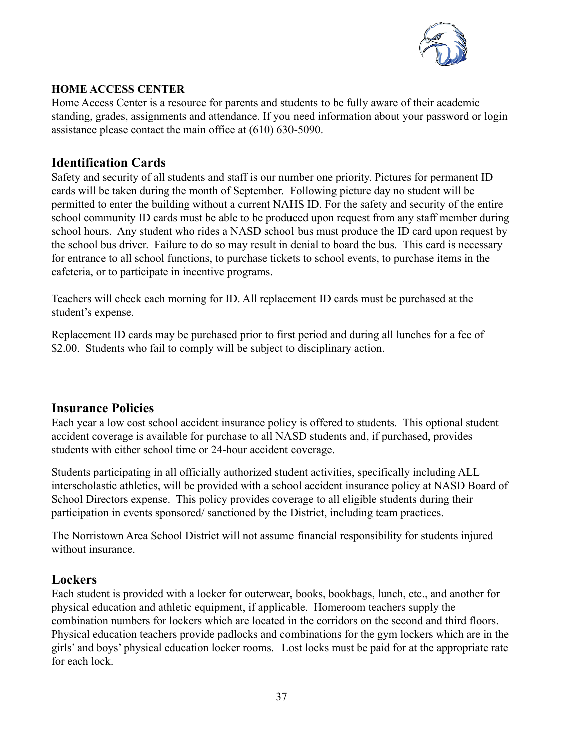

### **HOME ACCESS CENTER**

Home Access Center is a resource for parents and students to be fully aware of their academic standing, grades, assignments and attendance. If you need information about your password or login assistance please contact the main office at (610) 630-5090.

# **Identification Cards**

Safety and security of all students and staff is our number one priority. Pictures for permanent ID cards will be taken during the month of September. Following picture day no student will be permitted to enter the building without a current NAHS ID. For the safety and security of the entire school community ID cards must be able to be produced upon request from any staff member during school hours. Any student who rides a NASD school bus must produce the ID card upon request by the school bus driver. Failure to do so may result in denial to board the bus. This card is necessary for entrance to all school functions, to purchase tickets to school events, to purchase items in the cafeteria, or to participate in incentive programs.

Teachers will check each morning for ID. All replacement ID cards must be purchased at the student's expense.

Replacement ID cards may be purchased prior to first period and during all lunches for a fee of \$2.00. Students who fail to comply will be subject to disciplinary action.

# **Insurance Policies**

Each year a low cost school accident insurance policy is offered to students. This optional student accident coverage is available for purchase to all NASD students and, if purchased, provides students with either school time or 24-hour accident coverage.

Students participating in all officially authorized student activities, specifically including ALL interscholastic athletics, will be provided with a school accident insurance policy at NASD Board of School Directors expense. This policy provides coverage to all eligible students during their participation in events sponsored/ sanctioned by the District, including team practices.

The Norristown Area School District will not assume financial responsibility for students injured without insurance.

# **Lockers**

Each student is provided with a locker for outerwear, books, bookbags, lunch, etc., and another for physical education and athletic equipment, if applicable. Homeroom teachers supply the combination numbers for lockers which are located in the corridors on the second and third floors. Physical education teachers provide padlocks and combinations for the gym lockers which are in the girls' and boys' physical education locker rooms. Lost locks must be paid for at the appropriate rate for each lock.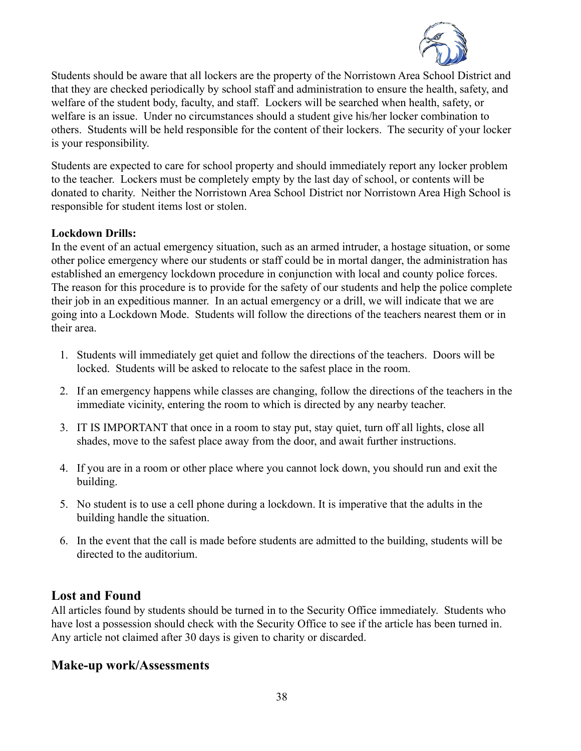

Students should be aware that all lockers are the property of the Norristown Area School District and that they are checked periodically by school staff and administration to ensure the health, safety, and welfare of the student body, faculty, and staff. Lockers will be searched when health, safety, or welfare is an issue. Under no circumstances should a student give his/her locker combination to others. Students will be held responsible for the content of their lockers. The security of your locker is your responsibility.

Students are expected to care for school property and should immediately report any locker problem to the teacher. Lockers must be completely empty by the last day of school, or contents will be donated to charity. Neither the Norristown Area School District nor Norristown Area High School is responsible for student items lost or stolen.

### **Lockdown Drills:**

In the event of an actual emergency situation, such as an armed intruder, a hostage situation, or some other police emergency where our students or staff could be in mortal danger, the administration has established an emergency lockdown procedure in conjunction with local and county police forces. The reason for this procedure is to provide for the safety of our students and help the police complete their job in an expeditious manner. In an actual emergency or a drill, we will indicate that we are going into a Lockdown Mode. Students will follow the directions of the teachers nearest them or in their area.

- 1. Students will immediately get quiet and follow the directions of the teachers. Doors will be locked. Students will be asked to relocate to the safest place in the room.
- 2. If an emergency happens while classes are changing, follow the directions of the teachers in the immediate vicinity, entering the room to which is directed by any nearby teacher.
- 3. IT IS IMPORTANT that once in a room to stay put, stay quiet, turn off all lights, close all shades, move to the safest place away from the door, and await further instructions.
- 4. If you are in a room or other place where you cannot lock down, you should run and exit the building.
- 5. No student is to use a cell phone during a lockdown. It is imperative that the adults in the building handle the situation.
- 6. In the event that the call is made before students are admitted to the building, students will be directed to the auditorium.

### **Lost and Found**

All articles found by students should be turned in to the Security Office immediately. Students who have lost a possession should check with the Security Office to see if the article has been turned in. Any article not claimed after 30 days is given to charity or discarded.

### **Make-up work/Assessments**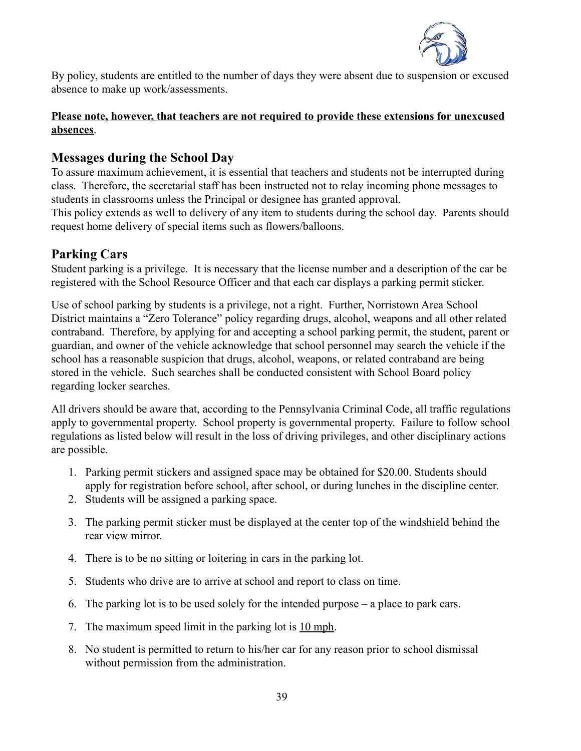

By policy, students are entitled to the number of days they were absent due to suspension or excused absence to make up work/assessments.

#### **Please note, however, that teachers are not required to provide these extensions for unexcused absences**.

# **Messages during the School Day**

To assure maximum achievement, it is essential that teachers and students not be interrupted during class. Therefore, the secretarial staff has been instructed not to relay incoming phone messages to students in classrooms unless the Principal or designee has granted approval.

This policy extends as well to delivery of any item to students during the school day. Parents should request home delivery of special items such as flowers/balloons.

### **Parking Cars**

Student parking is a privilege. It is necessary that the license number and a description of the car be registered with the School Resource Officer and that each car displays a parking permit sticker.

Use of school parking by students is a privilege, not a right. Further, Norristown Area School District maintains a "Zero Tolerance" policy regarding drugs, alcohol, weapons and all other related contraband. Therefore, by applying for and accepting a school parking permit, the student, parent or guardian, and owner of the vehicle acknowledge that school personnel may search the vehicle if the school has a reasonable suspicion that drugs, alcohol, weapons, or related contraband are being stored in the vehicle. Such searches shall be conducted consistent with School Board policy regarding locker searches.

All drivers should be aware that, according to the Pennsylvania Criminal Code, all traffic regulations apply to governmental property. School property is governmental property. Failure to follow school regulations as listed below will result in the loss of driving privileges, and other disciplinary actions are possible.

- 1. Parking permit stickers and assigned space may be obtained for \$20.00. Students should apply for registration before school, after school, or during lunches in the discipline center.
- 2. Students will be assigned a parking space.
- 3. The parking permit sticker must be displayed at the center top of the windshield behind the rear view mirror.
- 4. There is to be no sitting or loitering in cars in the parking lot.
- 5. Students who drive are to arrive at school and report to class on time.
- 6. The parking lot is to be used solely for the intended purpose a place to park cars.
- 7. The maximum speed limit in the parking lot is 10 mph.
- 8. No student is permitted to return to his/her car for any reason prior to school dismissal without permission from the administration.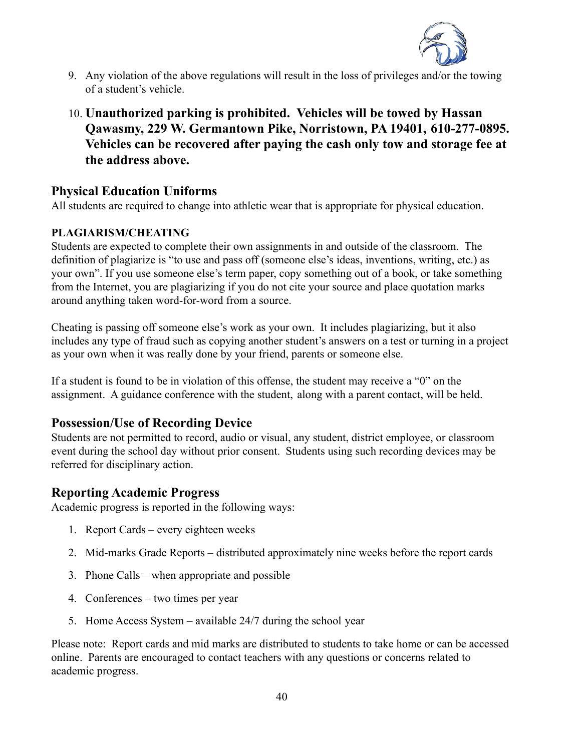

- 9. Any violation of the above regulations will result in the loss of privileges and/or the towing of a student's vehicle.
- 10. **Unauthorized parking is prohibited. Vehicles will be towed by Hassan Qawasmy, 229 W. Germantown Pike, Norristown, PA 19401, 610-277-0895. Vehicles can be recovered after paying the cash only tow and storage fee at the address above.**

### **Physical Education Uniforms**

All students are required to change into athletic wear that is appropriate for physical education.

### **PLAGIARISM/CHEATING**

Students are expected to complete their own assignments in and outside of the classroom. The definition of plagiarize is "to use and pass off (someone else's ideas, inventions, writing, etc.) as your own". If you use someone else's term paper, copy something out of a book, or take something from the Internet, you are plagiarizing if you do not cite your source and place quotation marks around anything taken word-for-word from a source.

Cheating is passing off someone else's work as your own. It includes plagiarizing, but it also includes any type of fraud such as copying another student's answers on a test or turning in a project as your own when it was really done by your friend, parents or someone else.

If a student is found to be in violation of this offense, the student may receive a "0" on the assignment. A guidance conference with the student, along with a parent contact, will be held.

# **Possession/Use of Recording Device**

Students are not permitted to record, audio or visual, any student, district employee, or classroom event during the school day without prior consent. Students using such recording devices may be referred for disciplinary action.

# **Reporting Academic Progress**

Academic progress is reported in the following ways:

- 1. Report Cards every eighteen weeks
- 2. Mid-marks Grade Reports distributed approximately nine weeks before the report cards
- 3. Phone Calls when appropriate and possible
- 4. Conferences two times per year
- 5. Home Access System available 24/7 during the school year

Please note: Report cards and mid marks are distributed to students to take home or can be accessed online. Parents are encouraged to contact teachers with any questions or concerns related to academic progress.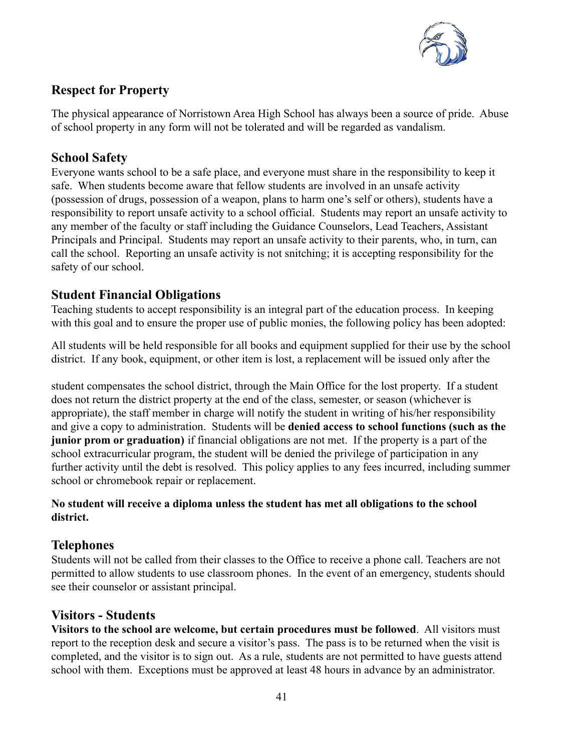

# **Respect for Property**

The physical appearance of Norristown Area High School has always been a source of pride. Abuse of school property in any form will not be tolerated and will be regarded as vandalism.

# **School Safety**

Everyone wants school to be a safe place, and everyone must share in the responsibility to keep it safe. When students become aware that fellow students are involved in an unsafe activity (possession of drugs, possession of a weapon, plans to harm one's self or others), students have a responsibility to report unsafe activity to a school official. Students may report an unsafe activity to any member of the faculty or staff including the Guidance Counselors, Lead Teachers, Assistant Principals and Principal. Students may report an unsafe activity to their parents, who, in turn, can call the school. Reporting an unsafe activity is not snitching; it is accepting responsibility for the safety of our school.

# **Student Financial Obligations**

Teaching students to accept responsibility is an integral part of the education process. In keeping with this goal and to ensure the proper use of public monies, the following policy has been adopted:

All students will be held responsible for all books and equipment supplied for their use by the school district. If any book, equipment, or other item is lost, a replacement will be issued only after the

student compensates the school district, through the Main Office for the lost property. If a student does not return the district property at the end of the class, semester, or season (whichever is appropriate), the staff member in charge will notify the student in writing of his/her responsibility and give a copy to administration. Students will be **denied access to school functions (such as the junior prom or graduation)** if financial obligations are not met. If the property is a part of the school extracurricular program, the student will be denied the privilege of participation in any further activity until the debt is resolved. This policy applies to any fees incurred, including summer school or chromebook repair or replacement.

### **No student will receive a diploma unless the student has met all obligations to the school district.**

# **Telephones**

Students will not be called from their classes to the Office to receive a phone call. Teachers are not permitted to allow students to use classroom phones. In the event of an emergency, students should see their counselor or assistant principal.

# **Visitors - Students**

**Visitors to the school are welcome, but certain procedures must be followed**. All visitors must report to the reception desk and secure a visitor's pass. The pass is to be returned when the visit is completed, and the visitor is to sign out. As a rule, students are not permitted to have guests attend school with them. Exceptions must be approved at least 48 hours in advance by an administrator.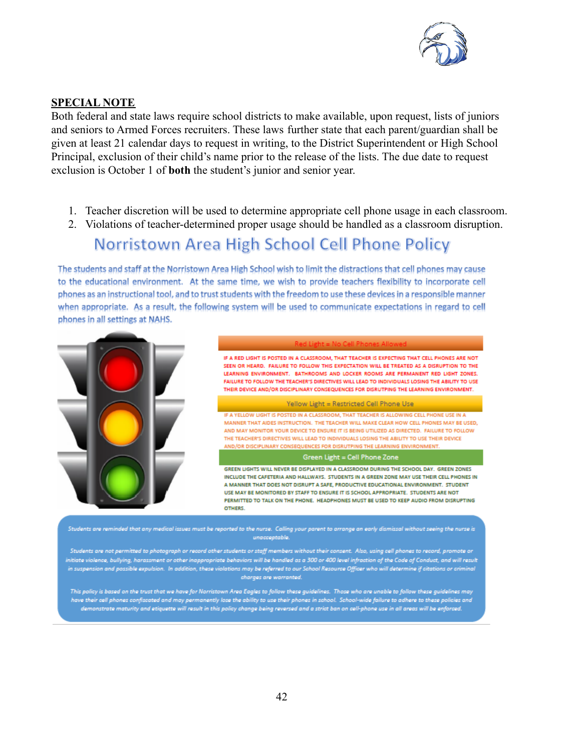

#### **SPECIAL NOTE**

Both federal and state laws require school districts to make available, upon request, lists of juniors and seniors to Armed Forces recruiters. These laws further state that each parent/guardian shall be given at least 21 calendar days to request in writing, to the District Superintendent or High School Principal, exclusion of their child's name prior to the release of the lists. The due date to request exclusion is October 1 of **both** the student's junior and senior year.

- 1. Teacher discretion will be used to determine appropriate cell phone usage in each classroom.
- 2. Violations of teacher-determined proper usage should be handled as a classroom disruption.

# Norristown Area High School Cell Phone Policy

The students and staff at the Norristown Area High School wish to limit the distractions that cell phones may cause to the educational environment. At the same time, we wish to provide teachers flexibility to incorporate cell phones as an instructional tool, and to trust students with the freedom to use these devices in a responsible manner when appropriate. As a result, the following system will be used to communicate expectations in regard to cell phones in all settings at NAHS.



Students are reminded that any medical issues must be reported to the nurse. Calling your parent to arrange an early dismissal without seeing the nurse is unacceptable.

Students are not permitted to photograph or record other students or staff members without their consent. Also, using cell phones to record, promote or .<br>Initiate violence, bullying, harassment or other inappropriate behaviors will be handled as a 300 or 400 level infraction of the Code of Conduct, and will result in suspension and possible expulsion. In addition, these violations may be referred to our School Resource Officer who will determine if citations or criminal charges are warranted.

This policy is based on the trust that we have for Norristown Area Eagles to follow these guidelines. Those who are unable to follow these guidelines may have their cell phones confiscated and may permanently lose the ability to use their phones in school. School-wide failure to adhere to these policies and demonstrate maturity and etiquette will result in this policy change being reversed and a strict ban on cell-phone use in all areas will be enforced.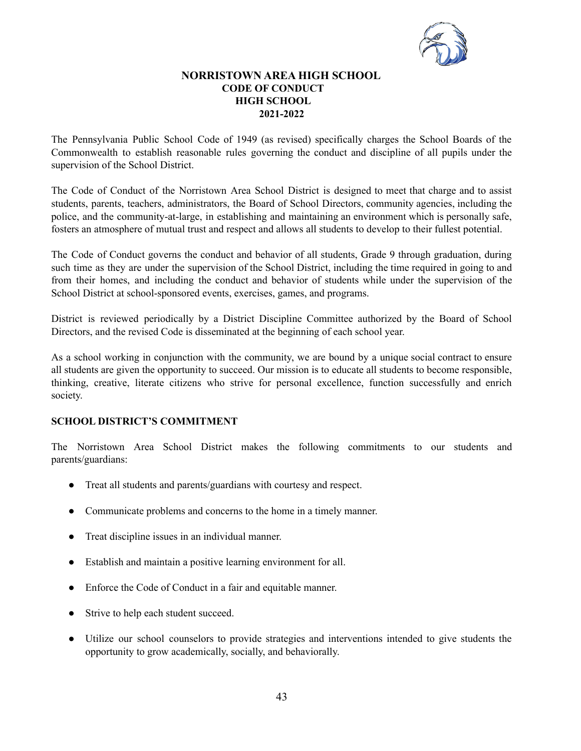

#### **NORRISTOWN AREA HIGH SCHOOL CODE OF CONDUCT HIGH SCHOOL 2021-2022**

The Pennsylvania Public School Code of 1949 (as revised) specifically charges the School Boards of the Commonwealth to establish reasonable rules governing the conduct and discipline of all pupils under the supervision of the School District.

The Code of Conduct of the Norristown Area School District is designed to meet that charge and to assist students, parents, teachers, administrators, the Board of School Directors, community agencies, including the police, and the community-at-large, in establishing and maintaining an environment which is personally safe, fosters an atmosphere of mutual trust and respect and allows all students to develop to their fullest potential.

The Code of Conduct governs the conduct and behavior of all students, Grade 9 through graduation, during such time as they are under the supervision of the School District, including the time required in going to and from their homes, and including the conduct and behavior of students while under the supervision of the School District at school-sponsored events, exercises, games, and programs.

District is reviewed periodically by a District Discipline Committee authorized by the Board of School Directors, and the revised Code is disseminated at the beginning of each school year.

As a school working in conjunction with the community, we are bound by a unique social contract to ensure all students are given the opportunity to succeed. Our mission is to educate all students to become responsible, thinking, creative, literate citizens who strive for personal excellence, function successfully and enrich society.

#### **SCHOOL DISTRICT'S COMMITMENT**

The Norristown Area School District makes the following commitments to our students and parents/guardians:

- Treat all students and parents/guardians with courtesy and respect.
- Communicate problems and concerns to the home in a timely manner.
- Treat discipline issues in an individual manner.
- Establish and maintain a positive learning environment for all.
- Enforce the Code of Conduct in a fair and equitable manner.
- Strive to help each student succeed.
- Utilize our school counselors to provide strategies and interventions intended to give students the opportunity to grow academically, socially, and behaviorally.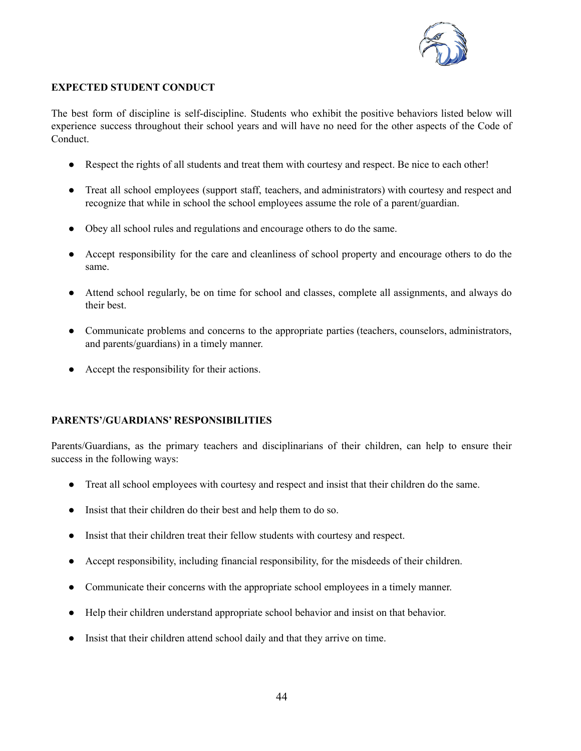

#### **EXPECTED STUDENT CONDUCT**

The best form of discipline is self-discipline. Students who exhibit the positive behaviors listed below will experience success throughout their school years and will have no need for the other aspects of the Code of Conduct.

- Respect the rights of all students and treat them with courtesy and respect. Be nice to each other!
- Treat all school employees (support staff, teachers, and administrators) with courtesy and respect and recognize that while in school the school employees assume the role of a parent/guardian.
- Obey all school rules and regulations and encourage others to do the same.
- Accept responsibility for the care and cleanliness of school property and encourage others to do the same.
- Attend school regularly, be on time for school and classes, complete all assignments, and always do their best.
- Communicate problems and concerns to the appropriate parties (teachers, counselors, administrators, and parents/guardians) in a timely manner.
- Accept the responsibility for their actions.

#### **PARENTS'/GUARDIANS' RESPONSIBILITIES**

Parents/Guardians, as the primary teachers and disciplinarians of their children, can help to ensure their success in the following ways:

- Treat all school employees with courtesy and respect and insist that their children do the same.
- Insist that their children do their best and help them to do so.
- Insist that their children treat their fellow students with courtesy and respect.
- Accept responsibility, including financial responsibility, for the misdeeds of their children.
- Communicate their concerns with the appropriate school employees in a timely manner.
- Help their children understand appropriate school behavior and insist on that behavior.
- Insist that their children attend school daily and that they arrive on time.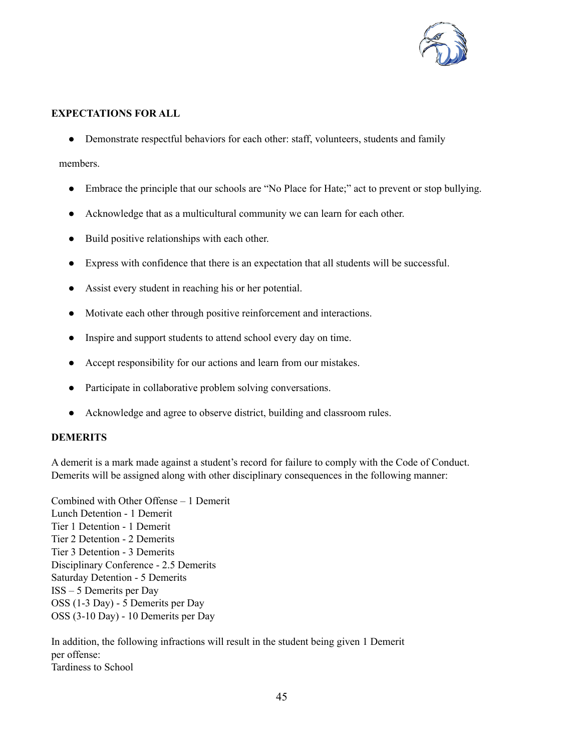

#### **EXPECTATIONS FOR ALL**

• Demonstrate respectful behaviors for each other: staff, volunteers, students and family

members.

- Embrace the principle that our schools are "No Place for Hate;" act to prevent or stop bullying.
- Acknowledge that as a multicultural community we can learn for each other.
- Build positive relationships with each other.
- Express with confidence that there is an expectation that all students will be successful.
- Assist every student in reaching his or her potential.
- Motivate each other through positive reinforcement and interactions.
- Inspire and support students to attend school every day on time.
- Accept responsibility for our actions and learn from our mistakes.
- Participate in collaborative problem solving conversations.
- Acknowledge and agree to observe district, building and classroom rules.

#### **DEMERITS**

A demerit is a mark made against a student's record for failure to comply with the Code of Conduct. Demerits will be assigned along with other disciplinary consequences in the following manner:

Combined with Other Offense – 1 Demerit Lunch Detention - 1 Demerit Tier 1 Detention - 1 Demerit Tier 2 Detention - 2 Demerits Tier 3 Detention - 3 Demerits Disciplinary Conference - 2.5 Demerits Saturday Detention - 5 Demerits ISS – 5 Demerits per Day OSS (1-3 Day) - 5 Demerits per Day OSS (3-10 Day) - 10 Demerits per Day

In addition, the following infractions will result in the student being given 1 Demerit per offense: Tardiness to School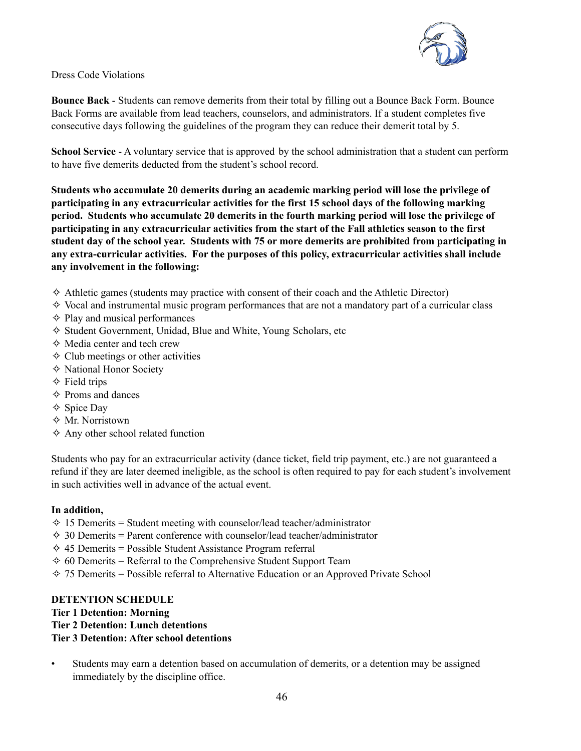

Dress Code Violations

**Bounce Back** - Students can remove demerits from their total by filling out a Bounce Back Form. Bounce Back Forms are available from lead teachers, counselors, and administrators. If a student completes five consecutive days following the guidelines of the program they can reduce their demerit total by 5.

**School Service** - A voluntary service that is approved by the school administration that a student can perform to have five demerits deducted from the student's school record.

**Students who accumulate 20 demerits during an academic marking period will lose the privilege of participating in any extracurricular activities for the first 15 school days of the following marking period. Students who accumulate 20 demerits in the fourth marking period will lose the privilege of participating in any extracurricular activities from the start of the Fall athletics season to the first student day of the school year. Students with 75 or more demerits are prohibited from participating in any extra-curricular activities. For the purposes of this policy, extracurricular activities shall include any involvement in the following:**

- $\diamond$  Athletic games (students may practice with consent of their coach and the Athletic Director)
- $\diamond$  Vocal and instrumental music program performances that are not a mandatory part of a curricular class
- ✧ Play and musical performances
- ✧ Student Government, Unidad, Blue and White, Young Scholars, etc
- ✧ Media center and tech crew
- $\diamond$  Club meetings or other activities
- ✧ National Honor Society
- $\Diamond$  Field trips
- ✧ Proms and dances
- ✧ Spice Day
- ✧ Mr. Norristown
- ✧ Any other school related function

Students who pay for an extracurricular activity (dance ticket, field trip payment, etc.) are not guaranteed a refund if they are later deemed ineligible, as the school is often required to pay for each student's involvement in such activities well in advance of the actual event.

#### **In addition,**

- $\Diamond$  15 Demerits = Student meeting with counselor/lead teacher/administrator
- $\Diamond$  30 Demerits = Parent conference with counselor/lead teacher/administrator
- $\Leftrightarrow$  45 Demerits = Possible Student Assistance Program referral
- $\Diamond$  60 Demerits = Referral to the Comprehensive Student Support Team
- $\Diamond$  75 Demerits = Possible referral to Alternative Education or an Approved Private School

#### **DETENTION SCHEDULE**

#### **Tier 1 Detention: Morning**

#### **Tier 2 Detention: Lunch detentions**

#### **Tier 3 Detention: After school detentions**

• Students may earn a detention based on accumulation of demerits, or a detention may be assigned immediately by the discipline office.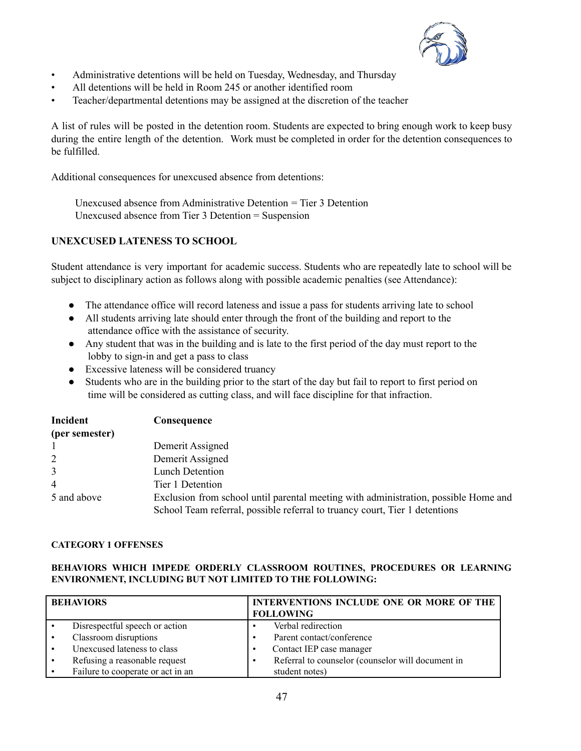

- Administrative detentions will be held on Tuesday, Wednesday, and Thursday
- All detentions will be held in Room 245 or another identified room
- Teacher/departmental detentions may be assigned at the discretion of the teacher

A list of rules will be posted in the detention room. Students are expected to bring enough work to keep busy during the entire length of the detention. Work must be completed in order for the detention consequences to be fulfilled.

Additional consequences for unexcused absence from detentions:

Unexcused absence from Administrative Detention = Tier 3 Detention Unexcused absence from Tier 3 Detention = Suspension

#### **UNEXCUSED LATENESS TO SCHOOL**

Student attendance is very important for academic success. Students who are repeatedly late to school will be subject to disciplinary action as follows along with possible academic penalties (see Attendance):

- The attendance office will record lateness and issue a pass for students arriving late to school
- All students arriving late should enter through the front of the building and report to the attendance office with the assistance of security.
- Any student that was in the building and is late to the first period of the day must report to the lobby to sign-in and get a pass to class
- Excessive lateness will be considered truancy
- Students who are in the building prior to the start of the day but fail to report to first period on time will be considered as cutting class, and will face discipline for that infraction.

| Incident       | Consequence                                                                         |
|----------------|-------------------------------------------------------------------------------------|
| (per semester) |                                                                                     |
|                | Demerit Assigned                                                                    |
| 2              | Demerit Assigned                                                                    |
| 3              | Lunch Detention                                                                     |
| $\overline{4}$ | Tier 1 Detention                                                                    |
| 5 and above    | Exclusion from school until parental meeting with administration, possible Home and |
|                | School Team referral, possible referral to truancy court, Tier 1 detentions         |

#### **CATEGORY 1 OFFENSES**

#### **BEHAVIORS WHICH IMPEDE ORDERLY CLASSROOM ROUTINES, PROCEDURES OR LEARNING ENVIRONMENT, INCLUDING BUT NOT LIMITED TO THE FOLLOWING:**

| <b>BEHAVIORS</b> |                                   | INTERVENTIONS INCLUDE ONE OR MORE OF THE<br><b>FOLLOWING</b> |                                                   |
|------------------|-----------------------------------|--------------------------------------------------------------|---------------------------------------------------|
|                  | Disrespectful speech or action    |                                                              | Verbal redirection                                |
|                  | Classroom disruptions             |                                                              | Parent contact/conference                         |
|                  | Unexcused lateness to class       |                                                              | Contact IEP case manager                          |
|                  | Refusing a reasonable request     |                                                              | Referral to counselor (counselor will document in |
|                  | Failure to cooperate or act in an |                                                              | student notes)                                    |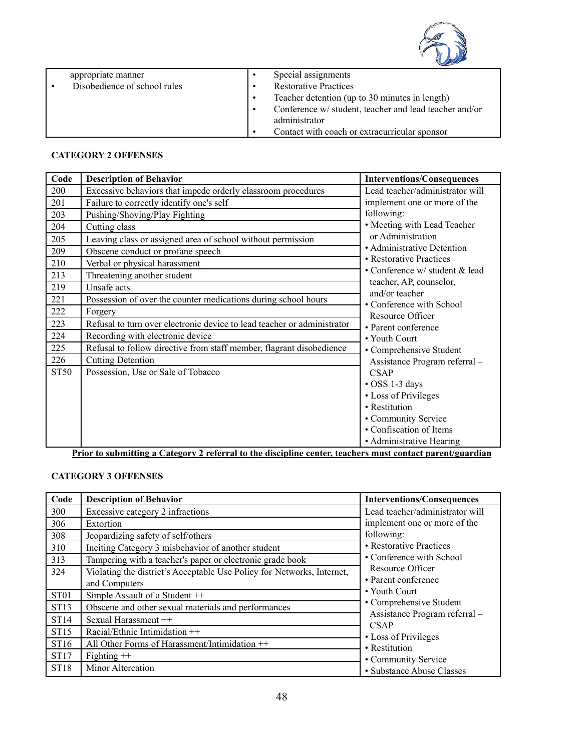

| appropriate manner           | Special assignments                                    |
|------------------------------|--------------------------------------------------------|
| Disobedience of school rules | <b>Restorative Practices</b>                           |
|                              | Teacher detention (up to 30 minutes in length)         |
|                              | Conference w/ student, teacher and lead teacher and/or |
|                              | administrator                                          |
|                              | Contact with coach or extracurricular sponsor          |

#### **CATEGORY 2 OFFENSES**

| Code        | <b>Description of Behavior</b>                                          | <b>Interventions/Consequences</b>          |
|-------------|-------------------------------------------------------------------------|--------------------------------------------|
| 200         | Excessive behaviors that impede orderly classroom procedures            | Lead teacher/administrator will            |
| 201         | Failure to correctly identify one's self                                | implement one or more of the               |
| 203         | Pushing/Shoving/Play Fighting                                           | following:                                 |
| 204         | Cutting class                                                           | • Meeting with Lead Teacher                |
| 205         | Leaving class or assigned area of school without permission             | or Administration                          |
| 209         | Obscene conduct or profane speech                                       | · Administrative Detention                 |
| 210         | Verbal or physical harassment                                           | • Restorative Practices                    |
| 213         | Threatening another student                                             | • Conference w/ student & lead             |
| 219         | Unsafe acts                                                             | teacher, AP, counselor,                    |
| 221         | Possession of over the counter medications during school hours          | and/or teacher<br>• Conference with School |
| 222         | Forgery                                                                 | Resource Officer                           |
| 223         | Refusal to turn over electronic device to lead teacher or administrator | • Parent conference                        |
| 224         | Recording with electronic device                                        | • Youth Court                              |
| 225         | Refusal to follow directive from staff member, flagrant disobedience    | • Comprehensive Student                    |
| 226         | <b>Cutting Detention</b>                                                | Assistance Program referral -              |
| <b>ST50</b> | Possession, Use or Sale of Tobacco                                      | <b>CSAP</b>                                |
|             |                                                                         | • OSS 1-3 days                             |
|             |                                                                         | • Loss of Privileges                       |
|             |                                                                         | • Restitution                              |
|             |                                                                         | • Community Service                        |
|             |                                                                         | • Confiscation of Items                    |
|             |                                                                         | • Administrative Hearing                   |

**Prior to submitting a Category 2 referral to the discipline center, teachers must contact parent/guardian**

#### **CATEGORY 3 OFFENSES**

| Code             | <b>Description of Behavior</b>                                         | <b>Interventions/Consequences</b>            |
|------------------|------------------------------------------------------------------------|----------------------------------------------|
| 300              | Excessive category 2 infractions                                       | Lead teacher/administrator will              |
| 306              | Extortion                                                              | implement one or more of the                 |
| 308              | Jeopardizing safety of self/others                                     | following:                                   |
| 310              | Inciting Category 3 misbehavior of another student                     | • Restorative Practices                      |
| 313              | Tampering with a teacher's paper or electronic grade book              | • Conference with School                     |
| 324              | Violating the district's Acceptable Use Policy for Networks, Internet, | Resource Officer                             |
|                  | and Computers                                                          | • Parent conference                          |
| ST <sub>01</sub> | Simple Assault of a Student ++                                         | • Youth Court                                |
| ST13             | Obscene and other sexual materials and performances                    | • Comprehensive Student                      |
| <b>ST14</b>      | Sexual Harassment ++                                                   | Assistance Program referral -<br><b>CSAP</b> |
| <b>ST15</b>      | Racial/Ethnic Intimidation $++$                                        | • Loss of Privileges                         |
| ST16             | All Other Forms of Harassment/Intimidation ++                          | • Restitution                                |
| ST17             | Fighting $++$                                                          | • Community Service                          |
| ST18             | Minor Altercation                                                      | • Substance Abuse Classes                    |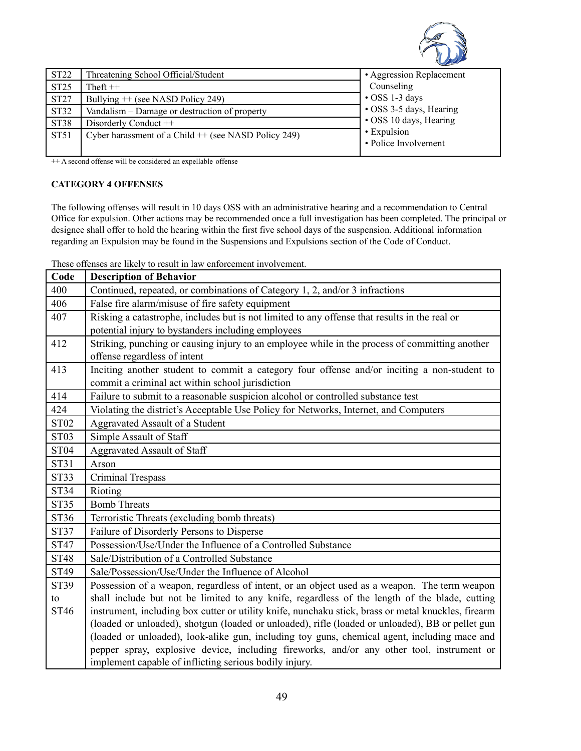

| ST22             | Threatening School Official/Student                    | • Aggression Replacement            |
|------------------|--------------------------------------------------------|-------------------------------------|
| <b>ST25</b>      | Theft $++$                                             | Counseling                          |
| <b>ST27</b>      | Bullying $++$ (see NASD Policy 249)                    | $\cdot$ OSS 1-3 days                |
| ST32             | Vandalism – Damage or destruction of property          | • OSS 3-5 days, Hearing             |
| ST38             | Disorderly Conduct ++                                  | • OSS 10 days, Hearing              |
| ST <sub>51</sub> | Cyber harassment of a Child $++$ (see NASD Policy 249) | • Expulsion<br>• Police Involvement |

++ A second offense will be considered an expellable offense

#### **CATEGORY 4 OFFENSES**

The following offenses will result in 10 days OSS with an administrative hearing and a recommendation to Central Office for expulsion. Other actions may be recommended once a full investigation has been completed. The principal or designee shall offer to hold the hearing within the first five school days of the suspension. Additional information regarding an Expulsion may be found in the Suspensions and Expulsions section of the Code of Conduct.

These offenses are likely to result in law enforcement involvement.

| Code        | <b>Description of Behavior</b>                                                                      |
|-------------|-----------------------------------------------------------------------------------------------------|
| 400         | Continued, repeated, or combinations of Category 1, 2, and/or 3 infractions                         |
| 406         | False fire alarm/misuse of fire safety equipment                                                    |
| 407         | Risking a catastrophe, includes but is not limited to any offense that results in the real or       |
|             | potential injury to bystanders including employees                                                  |
| 412         | Striking, punching or causing injury to an employee while in the process of committing another      |
|             | offense regardless of intent                                                                        |
| 413         | Inciting another student to commit a category four offense and/or inciting a non-student to         |
|             | commit a criminal act within school jurisdiction                                                    |
| 414         | Failure to submit to a reasonable suspicion alcohol or controlled substance test                    |
| 424         | Violating the district's Acceptable Use Policy for Networks, Internet, and Computers                |
| <b>ST02</b> | Aggravated Assault of a Student                                                                     |
| <b>ST03</b> | Simple Assault of Staff                                                                             |
| <b>ST04</b> | <b>Aggravated Assault of Staff</b>                                                                  |
| ST31        | Arson                                                                                               |
| <b>ST33</b> | Criminal Trespass                                                                                   |
| <b>ST34</b> | Rioting                                                                                             |
| <b>ST35</b> | <b>Bomb Threats</b>                                                                                 |
| ST36        | Terroristic Threats (excluding bomb threats)                                                        |
| <b>ST37</b> | Failure of Disorderly Persons to Disperse                                                           |
| <b>ST47</b> | Possession/Use/Under the Influence of a Controlled Substance                                        |
| <b>ST48</b> | Sale/Distribution of a Controlled Substance                                                         |
| <b>ST49</b> | Sale/Possession/Use/Under the Influence of Alcohol                                                  |
| <b>ST39</b> | Possession of a weapon, regardless of intent, or an object used as a weapon. The term weapon        |
| to          | shall include but not be limited to any knife, regardless of the length of the blade, cutting       |
| ST46        | instrument, including box cutter or utility knife, nunchaku stick, brass or metal knuckles, firearm |
|             | (loaded or unloaded), shotgun (loaded or unloaded), rifle (loaded or unloaded), BB or pellet gun    |
|             | (loaded or unloaded), look-alike gun, including toy guns, chemical agent, including mace and        |
|             | pepper spray, explosive device, including fireworks, and/or any other tool, instrument or           |
|             | implement capable of inflicting serious bodily injury.                                              |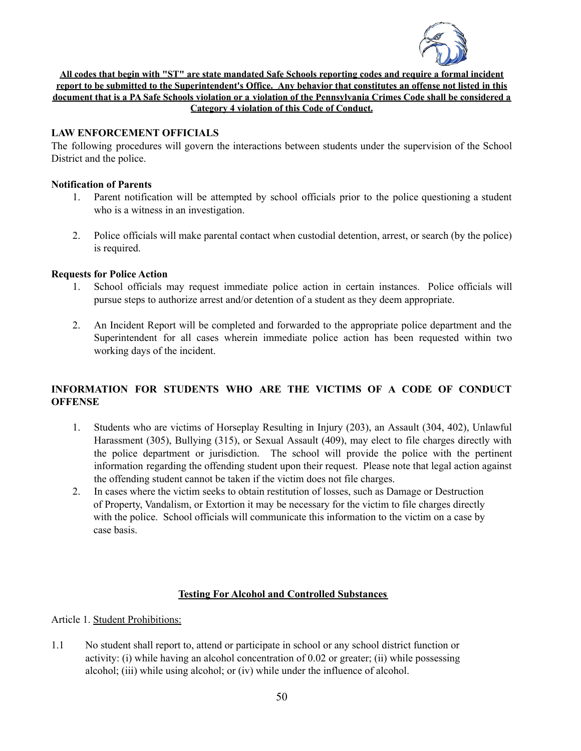

All codes that begin with "ST" are state mandated Safe Schools reporting codes and require a formal incident report to be submitted to the Superintendent's Office. Any behavior that constitutes an offense not listed in this document that is a PA Safe Schools violation or a violation of the Pennsylvania Crimes Code shall be considered a **Category 4 violation of this Code of Conduct.**

#### **LAW ENFORCEMENT OFFICIALS**

The following procedures will govern the interactions between students under the supervision of the School District and the police.

#### **Notification of Parents**

- 1. Parent notification will be attempted by school officials prior to the police questioning a student who is a witness in an investigation.
- 2. Police officials will make parental contact when custodial detention, arrest, or search (by the police) is required.

#### **Requests for Police Action**

- 1. School officials may request immediate police action in certain instances. Police officials will pursue steps to authorize arrest and/or detention of a student as they deem appropriate.
- 2. An Incident Report will be completed and forwarded to the appropriate police department and the Superintendent for all cases wherein immediate police action has been requested within two working days of the incident.

### **INFORMATION FOR STUDENTS WHO ARE THE VICTIMS OF A CODE OF CONDUCT OFFENSE**

- 1. Students who are victims of Horseplay Resulting in Injury (203), an Assault (304, 402), Unlawful Harassment (305), Bullying (315), or Sexual Assault (409), may elect to file charges directly with the police department or jurisdiction. The school will provide the police with the pertinent information regarding the offending student upon their request. Please note that legal action against the offending student cannot be taken if the victim does not file charges.
- 2. In cases where the victim seeks to obtain restitution of losses, such as Damage or Destruction of Property, Vandalism, or Extortion it may be necessary for the victim to file charges directly with the police. School officials will communicate this information to the victim on a case by case basis.

#### **Testing For Alcohol and Controlled Substances**

Article 1. Student Prohibitions:

1.1 No student shall report to, attend or participate in school or any school district function or activity: (i) while having an alcohol concentration of 0.02 or greater; (ii) while possessing alcohol; (iii) while using alcohol; or (iv) while under the influence of alcohol.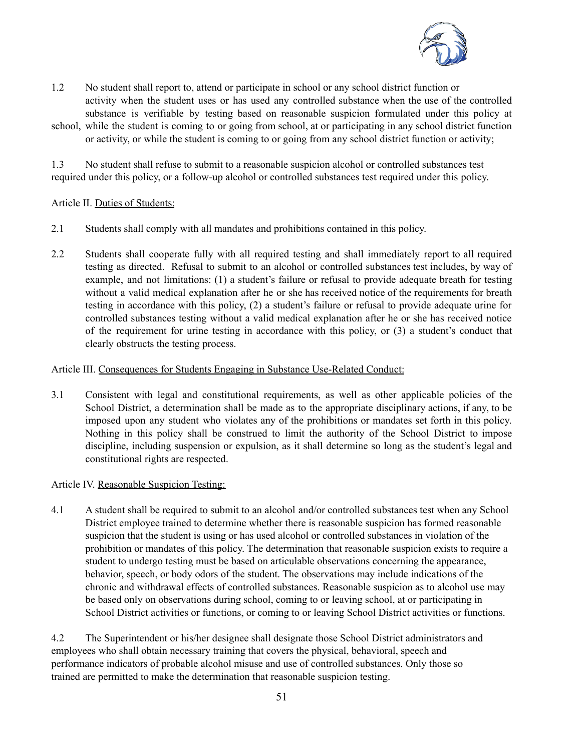

- 1.2 No student shall report to, attend or participate in school or any school district function or activity when the student uses or has used any controlled substance when the use of the controlled substance is verifiable by testing based on reasonable suspicion formulated under this policy at
- school, while the student is coming to or going from school, at or participating in any school district function or activity, or while the student is coming to or going from any school district function or activity;

1.3 No student shall refuse to submit to a reasonable suspicion alcohol or controlled substances test required under this policy, or a follow-up alcohol or controlled substances test required under this policy.

Article II. Duties of Students:

- 2.1 Students shall comply with all mandates and prohibitions contained in this policy.
- 2.2 Students shall cooperate fully with all required testing and shall immediately report to all required testing as directed. Refusal to submit to an alcohol or controlled substances test includes, by way of example, and not limitations: (1) a student's failure or refusal to provide adequate breath for testing without a valid medical explanation after he or she has received notice of the requirements for breath testing in accordance with this policy, (2) a student's failure or refusal to provide adequate urine for controlled substances testing without a valid medical explanation after he or she has received notice of the requirement for urine testing in accordance with this policy, or (3) a student's conduct that clearly obstructs the testing process.

#### Article III. Consequences for Students Engaging in Substance Use-Related Conduct:

3.1 Consistent with legal and constitutional requirements, as well as other applicable policies of the School District, a determination shall be made as to the appropriate disciplinary actions, if any, to be imposed upon any student who violates any of the prohibitions or mandates set forth in this policy. Nothing in this policy shall be construed to limit the authority of the School District to impose discipline, including suspension or expulsion, as it shall determine so long as the student's legal and constitutional rights are respected.

#### Article IV. Reasonable Suspicion Testing:

4.1 A student shall be required to submit to an alcohol and/or controlled substances test when any School District employee trained to determine whether there is reasonable suspicion has formed reasonable suspicion that the student is using or has used alcohol or controlled substances in violation of the prohibition or mandates of this policy. The determination that reasonable suspicion exists to require a student to undergo testing must be based on articulable observations concerning the appearance, behavior, speech, or body odors of the student. The observations may include indications of the chronic and withdrawal effects of controlled substances. Reasonable suspicion as to alcohol use may be based only on observations during school, coming to or leaving school, at or participating in School District activities or functions, or coming to or leaving School District activities or functions.

4.2 The Superintendent or his/her designee shall designate those School District administrators and employees who shall obtain necessary training that covers the physical, behavioral, speech and performance indicators of probable alcohol misuse and use of controlled substances. Only those so trained are permitted to make the determination that reasonable suspicion testing.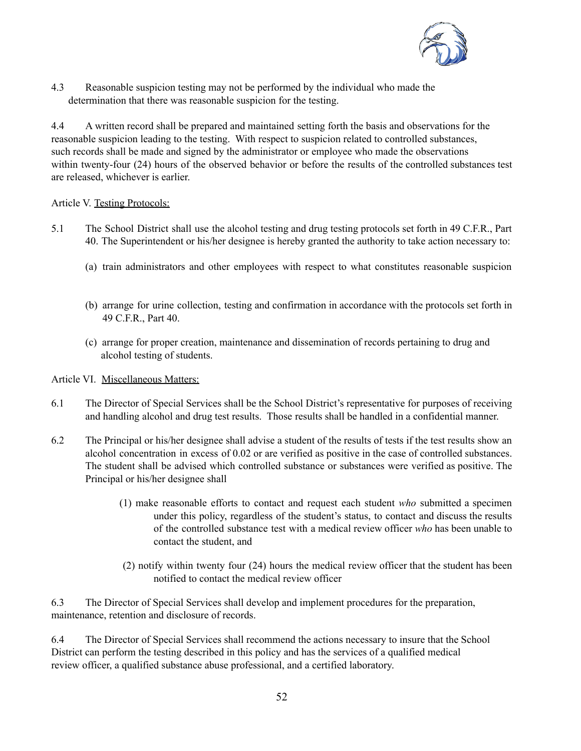

4.3 Reasonable suspicion testing may not be performed by the individual who made the determination that there was reasonable suspicion for the testing.

4.4 A written record shall be prepared and maintained setting forth the basis and observations for the reasonable suspicion leading to the testing. With respect to suspicion related to controlled substances, such records shall be made and signed by the administrator or employee who made the observations within twenty-four (24) hours of the observed behavior or before the results of the controlled substances test are released, whichever is earlier.

#### Article V. Testing Protocols:

- 5.1 The School District shall use the alcohol testing and drug testing protocols set forth in 49 C.F.R., Part 40. The Superintendent or his/her designee is hereby granted the authority to take action necessary to:
	- (a) train administrators and other employees with respect to what constitutes reasonable suspicion
	- (b) arrange for urine collection, testing and confirmation in accordance with the protocols set forth in 49 C.F.R., Part 40.
	- (c) arrange for proper creation, maintenance and dissemination of records pertaining to drug and alcohol testing of students.

Article VI. Miscellaneous Matters:

- 6.1 The Director of Special Services shall be the School District's representative for purposes of receiving and handling alcohol and drug test results. Those results shall be handled in a confidential manner.
- 6.2 The Principal or his/her designee shall advise a student of the results of tests if the test results show an alcohol concentration in excess of 0.02 or are verified as positive in the case of controlled substances. The student shall be advised which controlled substance or substances were verified as positive. The Principal or his/her designee shall
	- (1) make reasonable efforts to contact and request each student *who* submitted a specimen under this policy, regardless of the student's status, to contact and discuss the results of the controlled substance test with a medical review officer *who* has been unable to contact the student, and
	- (2) notify within twenty four (24) hours the medical review officer that the student has been notified to contact the medical review officer

6.3 The Director of Special Services shall develop and implement procedures for the preparation, maintenance, retention and disclosure of records.

6.4 The Director of Special Services shall recommend the actions necessary to insure that the School District can perform the testing described in this policy and has the services of a qualified medical review officer, a qualified substance abuse professional, and a certified laboratory.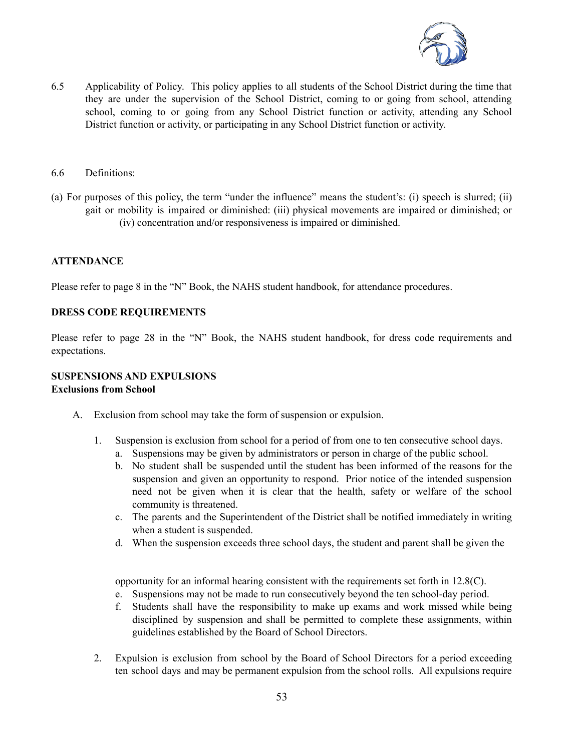

- 6.5 Applicability of Policy. This policy applies to all students of the School District during the time that they are under the supervision of the School District, coming to or going from school, attending school, coming to or going from any School District function or activity, attending any School District function or activity, or participating in any School District function or activity.
- 6.6 Definitions:
- (a) For purposes of this policy, the term "under the influence" means the student's: (i) speech is slurred; (ii) gait or mobility is impaired or diminished: (iii) physical movements are impaired or diminished; or (iv) concentration and/or responsiveness is impaired or diminished.

#### **ATTENDANCE**

Please refer to page 8 in the "N" Book, the NAHS student handbook, for attendance procedures.

#### **DRESS CODE REQUIREMENTS**

Please refer to page 28 in the "N" Book, the NAHS student handbook, for dress code requirements and expectations.

#### **SUSPENSIONS AND EXPULSIONS Exclusions from School**

- A. Exclusion from school may take the form of suspension or expulsion.
	- 1. Suspension is exclusion from school for a period of from one to ten consecutive school days.
		- a. Suspensions may be given by administrators or person in charge of the public school.
		- b. No student shall be suspended until the student has been informed of the reasons for the suspension and given an opportunity to respond. Prior notice of the intended suspension need not be given when it is clear that the health, safety or welfare of the school community is threatened.
		- c. The parents and the Superintendent of the District shall be notified immediately in writing when a student is suspended.
		- d. When the suspension exceeds three school days, the student and parent shall be given the

opportunity for an informal hearing consistent with the requirements set forth in 12.8(C).

- e. Suspensions may not be made to run consecutively beyond the ten school-day period.
- f. Students shall have the responsibility to make up exams and work missed while being disciplined by suspension and shall be permitted to complete these assignments, within guidelines established by the Board of School Directors.
- 2. Expulsion is exclusion from school by the Board of School Directors for a period exceeding ten school days and may be permanent expulsion from the school rolls. All expulsions require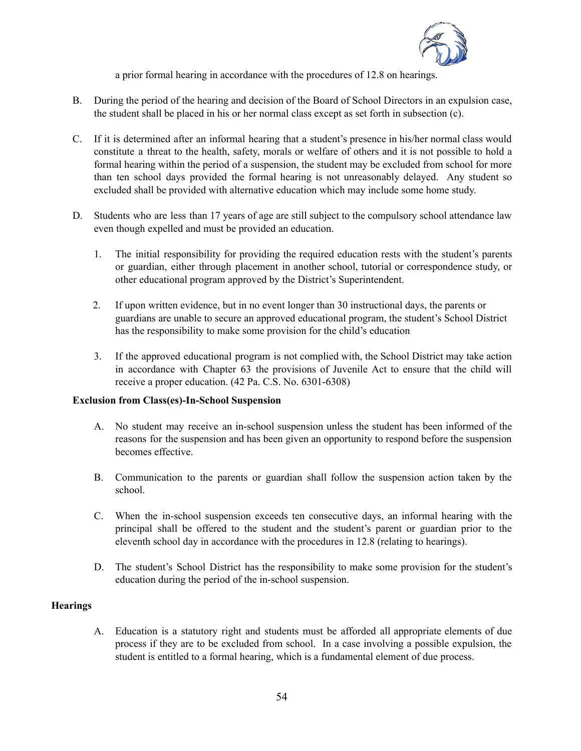

a prior formal hearing in accordance with the procedures of 12.8 on hearings.

- B. During the period of the hearing and decision of the Board of School Directors in an expulsion case, the student shall be placed in his or her normal class except as set forth in subsection (c).
- C. If it is determined after an informal hearing that a student's presence in his/her normal class would constitute a threat to the health, safety, morals or welfare of others and it is not possible to hold a formal hearing within the period of a suspension, the student may be excluded from school for more than ten school days provided the formal hearing is not unreasonably delayed. Any student so excluded shall be provided with alternative education which may include some home study.
- D. Students who are less than 17 years of age are still subject to the compulsory school attendance law even though expelled and must be provided an education.
	- 1. The initial responsibility for providing the required education rests with the student's parents or guardian, either through placement in another school, tutorial or correspondence study, or other educational program approved by the District's Superintendent.
	- 2. If upon written evidence, but in no event longer than 30 instructional days, the parents or guardians are unable to secure an approved educational program, the student's School District has the responsibility to make some provision for the child's education
	- 3. If the approved educational program is not complied with, the School District may take action in accordance with Chapter 63 the provisions of Juvenile Act to ensure that the child will receive a proper education. (42 Pa. C.S. No. 6301-6308)

#### **Exclusion from Class(es)-In-School Suspension**

- A. No student may receive an in-school suspension unless the student has been informed of the reasons for the suspension and has been given an opportunity to respond before the suspension becomes effective.
- B. Communication to the parents or guardian shall follow the suspension action taken by the school.
- C. When the in-school suspension exceeds ten consecutive days, an informal hearing with the principal shall be offered to the student and the student's parent or guardian prior to the eleventh school day in accordance with the procedures in 12.8 (relating to hearings).
- D. The student's School District has the responsibility to make some provision for the student's education during the period of the in-school suspension.

#### **Hearings**

A. Education is a statutory right and students must be afforded all appropriate elements of due process if they are to be excluded from school. In a case involving a possible expulsion, the student is entitled to a formal hearing, which is a fundamental element of due process.